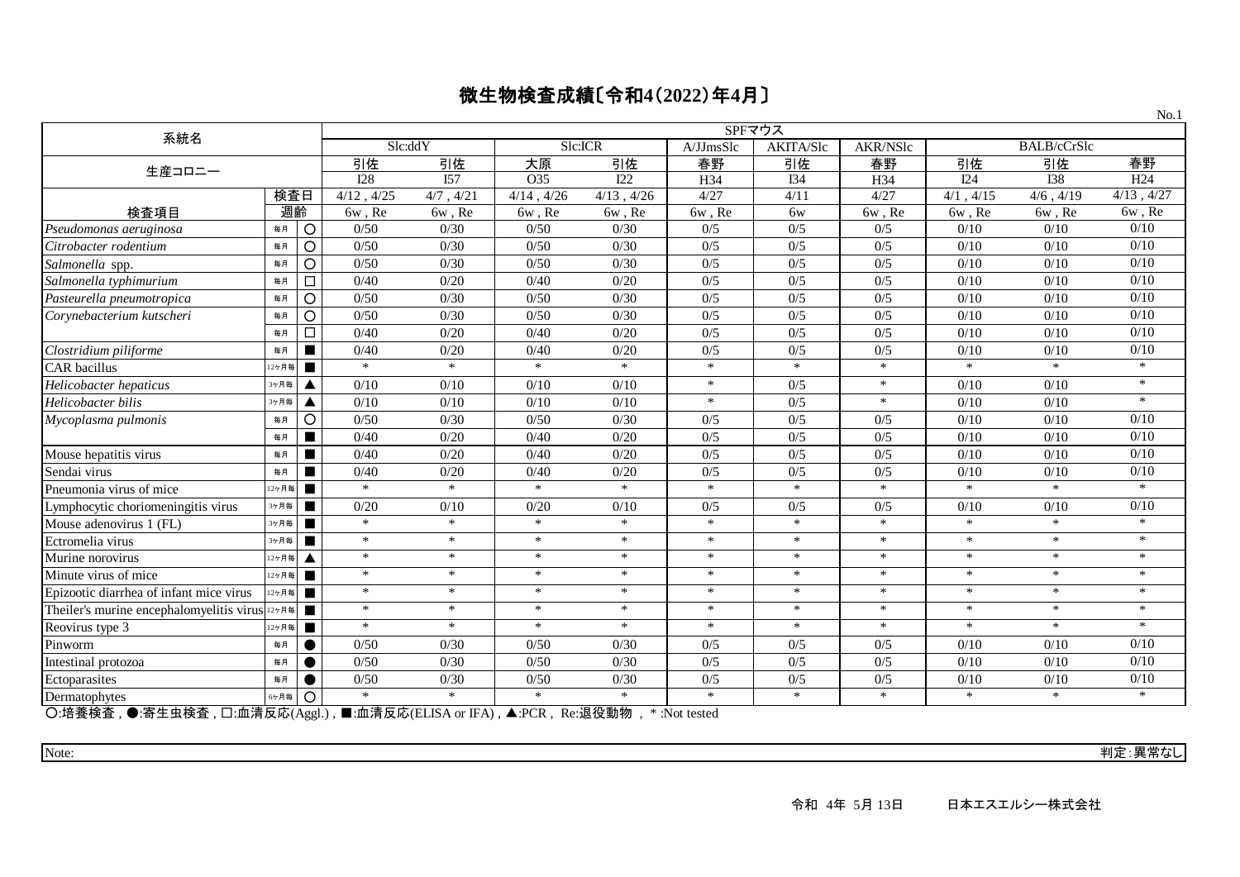|                                                |       |                          |                 |            |                 |                 |           |                  |          |             |                    | No.1            |
|------------------------------------------------|-------|--------------------------|-----------------|------------|-----------------|-----------------|-----------|------------------|----------|-------------|--------------------|-----------------|
| 系統名                                            |       |                          |                 |            |                 |                 |           | SPFマウス           |          |             |                    |                 |
|                                                |       |                          | Slc:ddY         |            | Slc:ICR         |                 | A/JJmsSlc | <b>AKITA/Slc</b> | AKR/NSlc |             | <b>BALB/cCrSlc</b> |                 |
| 生産コロニー                                         |       |                          | 引佐              | 引佐         | 大原              | 引佐              | 春野        | 引佐               | 春野       | 引佐          | 引佐                 | 春野              |
|                                                |       |                          | <b>I28</b>      | <b>I57</b> | O35             | I22             | H34       | I34              | H34      | I24         | <b>I38</b>         | H <sub>24</sub> |
|                                                | 検査日   |                          | $4/12$ , $4/25$ | 4/7, 4/21  | $4/14$ , $4/26$ | $4/13$ , $4/26$ | 4/27      | 4/11             | 4/27     | 4/1, 4/15   | $4/6$ , $4/19$     | $4/13$ , $4/27$ |
| 検査項目                                           | 週齡    |                          | 6w, Re          | 6w, Re     | 6w, Re          | 6w, Re          | 6w, Re    | 6w               | 6w, Re   | $6w$ , $Re$ | 6w, Re             | 6w, Re          |
| Pseudomonas aeruginosa                         | 毎月    | $\circ$                  | 0/50            | 0/30       | 0/50            | 0/30            | 0/5       | 0/5              | 0/5      | 0/10        | 0/10               | 0/10            |
| Citrobacter rodentium                          | 毎月    | O                        | 0/50            | 0/30       | 0/50            | 0/30            | 0/5       | 0/5              | 0/5      | 0/10        | 0/10               | 0/10            |
| Salmonella spp.                                | 毎月    | O                        | 0/50            | 0/30       | 0/50            | 0/30            | 0/5       | 0/5              | 0/5      | 0/10        | 0/10               | 0/10            |
| Salmonella typhimurium                         | 毎月    | □                        | 0/40            | 0/20       | 0/40            | 0/20            | 0/5       | 0/5              | 0/5      | 0/10        | 0/10               | 0/10            |
| Pasteurella pneumotropica                      | 毎月    | O                        | 0/50            | 0/30       | 0/50            | 0/30            | 0/5       | 0/5              | 0/5      | 0/10        | 0/10               | 0/10            |
| Corynebacterium kutscheri                      | 毎月    | O                        | 0/50            | 0/30       | 0/50            | 0/30            | 0/5       | 0/5              | 0/5      | 0/10        | 0/10               | 0/10            |
|                                                | 毎月    | □                        | 0/40            | 0/20       | 0/40            | 0/20            | 0/5       | 0/5              | 0/5      | 0/10        | 0/10               | 0/10            |
| Clostridium piliforme                          | 毎月    | $\blacksquare$           | 0/40            | 0/20       | 0/40            | 0/20            | 0/5       | 0/5              | 0/5      | 0/10        | 0/10               | 0/10            |
| CAR bacillus                                   | 12ヶ月毎 | $\blacksquare$           | $\ast$          | $\ast$     | $\ast$          | $\ast$          | $\ast$    | $\ast$           | $\ast$   | $\ast$      | $\ast$             | $\ast$          |
| Helicobacter hepaticus                         | 3ヶ月毎  | ▲                        | 0/10            | 0/10       | 0/10            | 0/10            | $\ast$    | 0/5              | $\ast$   | 0/10        | 0/10               | $\ast$          |
| Helicobacter bilis                             | 3ヶ月毎  |                          | 0/10            | 0/10       | 0/10            | 0/10            | $\ast$    | 0/5              | $\ast$   | 0/10        | 0/10               | $\ast$          |
| Mycoplasma pulmonis                            | 毎月    | O                        | 0/50            | 0/30       | 0/50            | 0/30            | 0/5       | 0/5              | 0/5      | 0/10        | 0/10               | 0/10            |
|                                                | 毎月    | ш                        | 0/40            | 0/20       | 0/40            | 0/20            | 0/5       | 0/5              | 0/5      | 0/10        | 0/10               | 0/10            |
| Mouse hepatitis virus                          | 毎月    | $\overline{\phantom{a}}$ | 0/40            | 0/20       | 0/40            | 0/20            | 0/5       | 0/5              | 0/5      | 0/10        | 0/10               | 0/10            |
| Sendai virus                                   | 毎月    |                          | 0/40            | 0/20       | 0/40            | 0/20            | 0/5       | 0/5              | 0/5      | 0/10        | 0/10               | 0/10            |
| Pneumonia virus of mice                        | 12ヶ月毎 | $\blacksquare$           | $\ast$          | $\ast$     | $\ast$          | $\ast$          | $\ast$    | $\ast$           | $\ast$   | $\ast$      | $\ast$             | $\ast$          |
| Lymphocytic choriomeningitis virus             | 3ヶ月毎  | п                        | 0/20            | 0/10       | 0/20            | 0/10            | 0/5       | 0/5              | 0/5      | 0/10        | 0/10               | 0/10            |
| Mouse adenovirus 1 (FL)                        | 3ヶ月毎  | п                        | $\ast$          | $\ast$     | $\ast$          | $\ast$          | $\ast$    | $\ast$           | $\ast$   | $\ast$      | $\ast$             | $\ast$          |
| Ectromelia virus                               | 3ヶ月毎  | $\overline{\phantom{a}}$ | $\ast$          | $\ast$     | $\ast$          | $\ast$          | $\ast$    | $\ast$           | $\ast$   | $\ast$      | $\ast$             | $\ast$          |
| Murine norovirus                               | 12ヶ月毎 | ▲                        | $\ast$          | $\ast$     | $\ast$          | $\ast$          | $\ast$    | $\ast$           | $\ast$   | $\ast$      | $\ast$             | $\ast$          |
| Minute virus of mice                           | 12ヶ月毎 | $\overline{\phantom{a}}$ | $\ast$          | $\ast$     | $\ast$          | $\ast$          | $\ast$    | $\ast$           | $\ast$   | $\ast$      | $\ast$             | $\ast$          |
| Epizootic diarrhea of infant mice virus        | 12ヶ月毎 | $\blacksquare$           | $\ast$          | $\ast$     | $\ast$          | $\ast$          | $\ast$    | $\ast$           | $\ast$   | $\ast$      | $\ast$             | $\ast$          |
| Theiler's murine encephalomyelitis virus 127 H |       | $\blacksquare$           | $\ast$          | $\ast$     | $\ast$          | $\ast$          | $\ast$    | $\ast$           | $\ast$   | $\ast$      | $\ast$             | $\ast$          |
| Reovirus type 3                                | 12ヶ月毎 | $\blacksquare$           | $\ast$          | $\ast$     | $\ast$          | $\ast$          | $\ast$    | $\ast$           | $\ast$   | $\ast$      | $\ast$             | $\ast$          |
| Pinworm                                        | 毎月    | $\bullet$                | 0/50            | 0/30       | 0/50            | 0/30            | 0/5       | 0/5              | 0/5      | 0/10        | 0/10               | 0/10            |
| Intestinal protozoa                            | 毎月    |                          | 0/50            | 0/30       | 0/50            | 0/30            | 0/5       | 0/5              | 0/5      | 0/10        | 0/10               | 0/10            |
| Ectoparasites                                  | 毎月    |                          | 0/50            | 0/30       | 0/50            | 0/30            | 0/5       | 0/5              | 0/5      | 0/10        | 0/10               | 0/10            |
| Dermatophytes                                  | 6ヶ月毎  | O                        | $\ast$          | $\ast$     | $\ast$          | $\ast$          | $\ast$    | $\ast$           | $\ast$   | $\ast$      | $\ast$             | $\ast$          |
|                                                |       |                          |                 |            |                 |                 |           |                  |          |             |                    |                 |

○:培養検査 , ●:寄生虫検査 , □:血清反応(Aggl.) , ■:血清反応(ELISA or IFA) , ▲:PCR , Re:退役動物 , \* :Not tested

Note: 判定:異常なし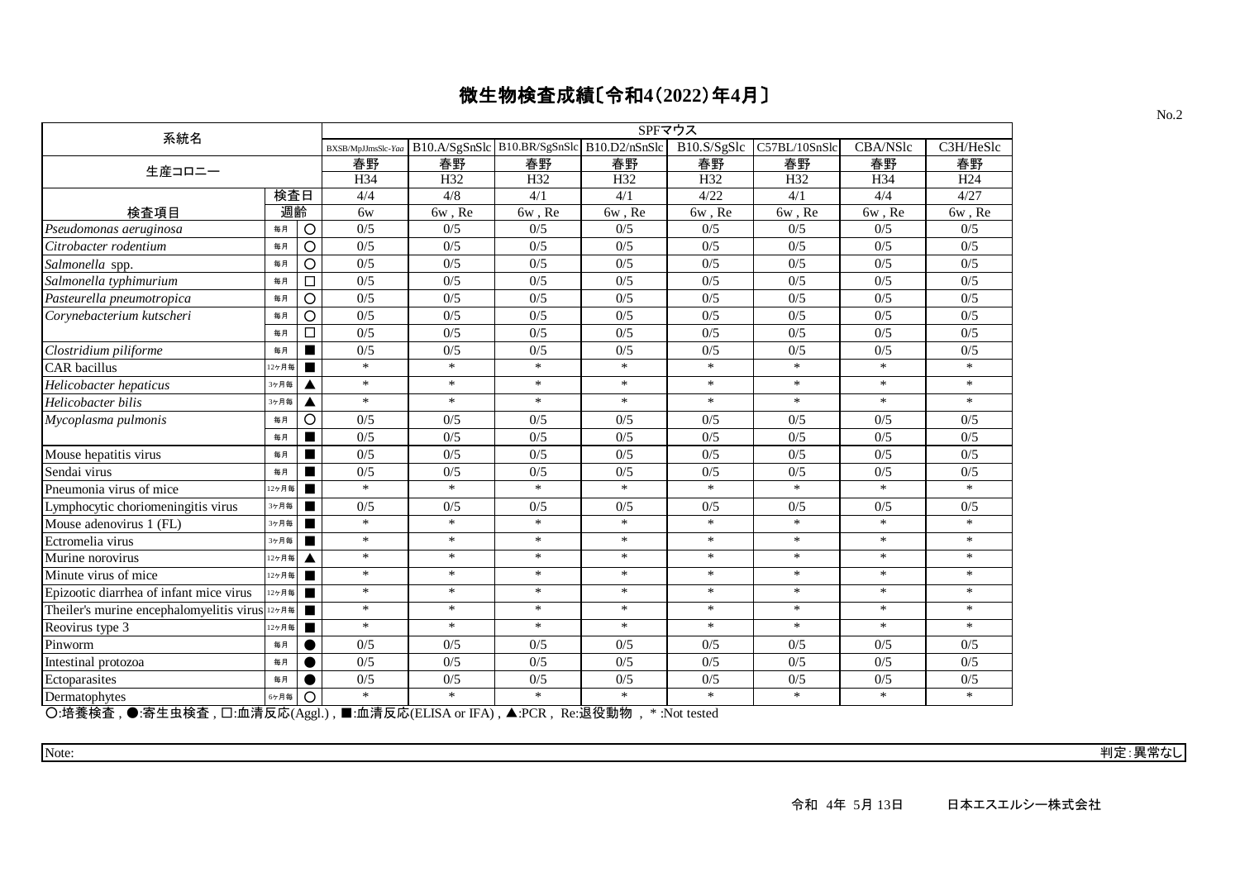| 系統名                                                           |       |                |                    |        |                                            | SPFマウス |             |               |                 |                 |
|---------------------------------------------------------------|-------|----------------|--------------------|--------|--------------------------------------------|--------|-------------|---------------|-----------------|-----------------|
|                                                               |       |                | BXSB/MpJJmsSlc-Yaa |        | B10.A/SgSnSlc B10.BR/SgSnSlc B10.D2/nSnSlc |        | B10.S/SgSlc | C57BL/10SnSlc | <b>CBA/NSIc</b> | C3H/HeSlc       |
| 生産コロニー                                                        |       |                | 春野                 | 春野     | 春野                                         | 春野     | 春野          | 春野            | 春野              | 春野              |
|                                                               |       |                | H34                | H32    | H32                                        | H32    | H32         | H32           | H34             | H <sub>24</sub> |
|                                                               | 検査日   |                | 4/4                | 4/8    | 4/1                                        | 4/1    | 4/22        | 4/1           | 4/4             | 4/27            |
| 検査項目                                                          | 週齡    |                | 6w                 | 6w, Re | 6w, Re                                     | 6w, Re | $6w$ , $Re$ | 6w, Re        | 6w, Re          | 6w, Re          |
| Pseudomonas aeruginosa                                        | 毎月    | $\circ$        | 0/5                | 0/5    | 0/5                                        | 0/5    | 0/5         | 0/5           | 0/5             | 0/5             |
| Citrobacter rodentium                                         | 毎月    | $\circ$        | 0/5                | 0/5    | 0/5                                        | 0/5    | 0/5         | 0/5           | 0/5             | 0/5             |
| Salmonella spp.                                               | 毎月    | O              | 0/5                | 0/5    | 0/5                                        | 0/5    | 0/5         | 0/5           | 0/5             | 0/5             |
| Salmonella typhimurium                                        | 毎月    | □              | 0/5                | 0/5    | 0/5                                        | 0/5    | 0/5         | 0/5           | 0/5             | 0/5             |
| Pasteurella pneumotropica                                     | 毎月    | O              | 0/5                | 0/5    | 0/5                                        | 0/5    | 0/5         | 0/5           | 0/5             | 0/5             |
| Corynebacterium kutscheri                                     | 毎月    | O              | 0/5                | 0/5    | 0/5                                        | 0/5    | 0/5         | 0/5           | 0/5             | 0/5             |
|                                                               | 毎月    | □              | 0/5                | 0/5    | 0/5                                        | 0/5    | 0/5         | 0/5           | 0/5             | 0/5             |
| Clostridium piliforme                                         | 毎月    |                | 0/5                | 0/5    | 0/5                                        | 0/5    | 0/5         | 0/5           | 0/5             | 0/5             |
| <b>CAR</b> bacillus                                           | 12ヶ月毎 |                | $\ast$             | $\ast$ | $\ast$                                     | *      | $\ast$      | $\ast$        | $\ast$          | $\ast$          |
| Helicobacter hepaticus                                        | 3ヶ月毎  | ▲              | $\ast$             | $\ast$ | $\ast$                                     | $\ast$ | $\ast$      | $\ast$        | $\ast$          | $\ast$          |
| Helicobacter bilis                                            | 3ヶ月毎  |                | $\ast$             | $\ast$ | $\ast$                                     | $\ast$ | $\ast$      | $\ast$        | $\ast$          | $\ast$          |
| Mycoplasma pulmonis                                           | 毎月    | O              | 0/5                | 0/5    | 0/5                                        | 0/5    | 0/5         | 0/5           | 0/5             | 0/5             |
|                                                               | 毎月    |                | 0/5                | 0/5    | 0/5                                        | 0/5    | 0/5         | 0/5           | 0/5             | 0/5             |
| Mouse hepatitis virus                                         | 毎月    |                | 0/5                | 0/5    | 0/5                                        | 0/5    | 0/5         | 0/5           | 0/5             | 0/5             |
| Sendai virus                                                  | 每月    |                | 0/5                | 0/5    | 0/5                                        | 0/5    | 0/5         | 0/5           | 0/5             | 0/5             |
| Pneumonia virus of mice                                       | 12ヶ月毎 |                | $\ast$             | $\ast$ | $\ast$                                     | $\ast$ | $\ast$      | $\ast$        | $\ast$          | $\ast$          |
| Lymphocytic choriomeningitis virus                            | 3ヶ月毎  |                | 0/5                | 0/5    | 0/5                                        | 0/5    | 0/5         | 0/5           | 0/5             | 0/5             |
| Mouse adenovirus 1 (FL)                                       | 3ヶ月毎  |                | $\ast$             | $\ast$ | $\ast$                                     | $\ast$ | $\ast$      | $\ast$        | $\ast$          | $\ast$          |
| Ectromelia virus                                              | 3ヶ月毎  |                | $\ast$             | $\ast$ | $\ast$                                     | $\ast$ | $\ast$      | $\ast$        | $\ast$          | $\ast$          |
| Murine norovirus                                              | 12ヶ月毎 |                | $\ast$             | $\ast$ | $\ast$                                     | $\ast$ | $\ast$      | $\ast$        | $\ast$          | $\ast$          |
| Minute virus of mice                                          | 12ヶ月毎 | $\blacksquare$ | $\ast$             | $\ast$ | $\ast$                                     | *      | $\ast$      | $\ast$        | $\ast$          | $\ast$          |
| Epizootic diarrhea of infant mice virus                       | 12ヶ月毎 | $\blacksquare$ | $\ast$             | $\ast$ | $\ast$                                     | *      | $\ast$      | $\ast$        | $\ast$          | $\ast$          |
| Theiler's murine encephalomyelitis virus 127 H                |       | $\blacksquare$ | $\ast$             | $\ast$ | $\ast$                                     | $\ast$ | $\ast$      | $\ast$        | $\ast$          | $\ast$          |
| Reovirus type 3                                               | 12ヶ月毎 |                | $\ast$             | $\ast$ | $\ast$                                     | $\ast$ | $\ast$      | $\ast$        | $\ast$          | $\ast$          |
| Pinworm                                                       | 毎月    |                | 0/5                | 0/5    | 0/5                                        | 0/5    | 0/5         | 0/5           | 0/5             | 0/5             |
| Intestinal protozoa                                           | 毎月    |                | 0/5                | 0/5    | 0/5                                        | 0/5    | 0/5         | 0/5           | 0/5             | 0/5             |
| Ectoparasites                                                 | 毎月    |                | 0/5                | 0/5    | 0/5                                        | 0/5    | 0/5         | 0/5           | 0/5             | 0/5             |
| Dermatophytes<br>$\bigcap$ 拉美玲木 $\bigcirc$ 宋井市坽木 ロ 而注目広(Asal) | 6ヶ月毎  | O              | $\ast$             | $\ast$ | $\ast$<br>■病法后皮/ELIGA or IEA) ADCD Do 日外甜椒 | $\ast$ | $\ast$      | $\ast$        | $\ast$          | $\ast$          |

○:培養検査 , ●:寄生虫検査 , □:血清反応(Aggl.) , ■:血清反応(ELISA or IFA) , ▲:PCR , Re:退役動物 , \* :Not tested

Note: 判定:異常なし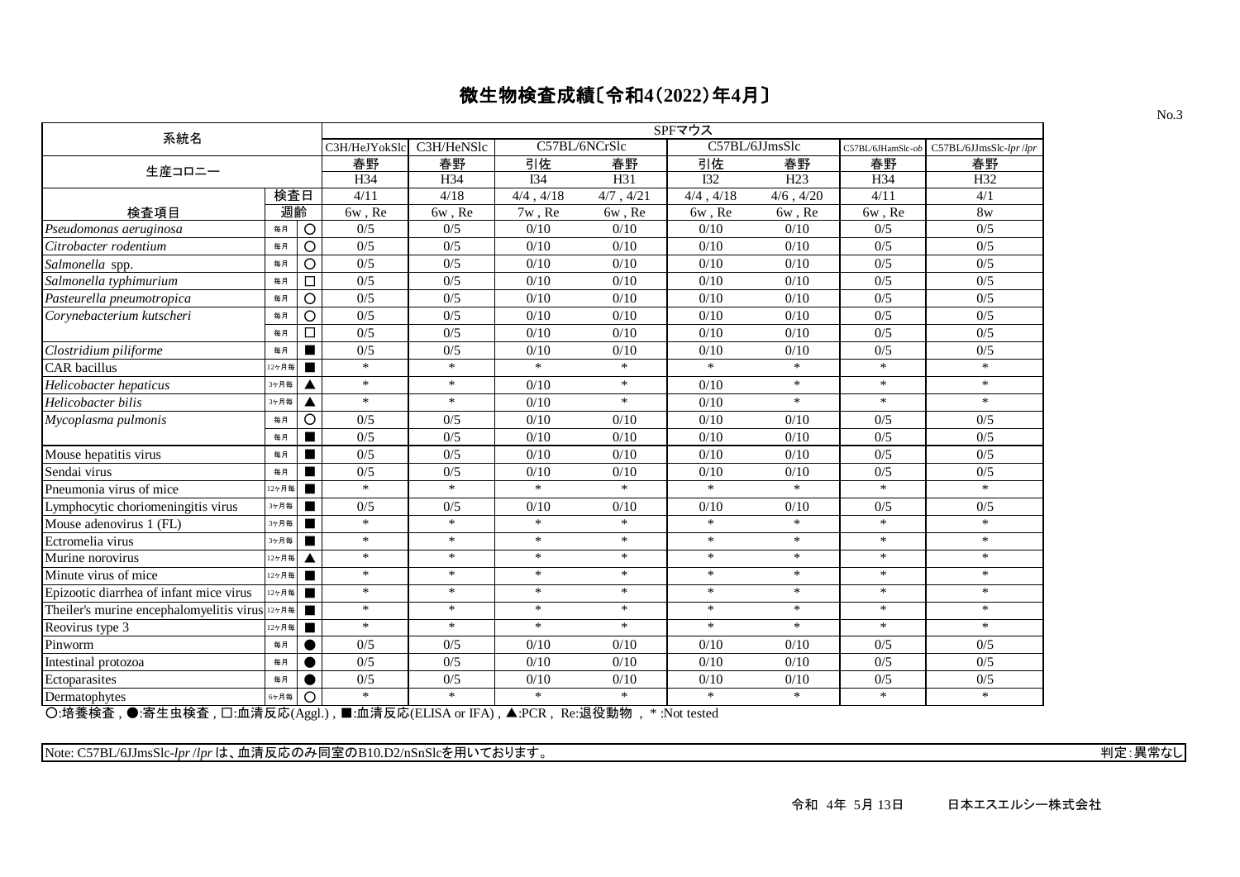|                                                                                                                                                                                                                                                                                                                                                                                                                                                                                                                                       |       |                  |                       |                             |                        |                            | SPFマウス         |                |                   |                        |
|---------------------------------------------------------------------------------------------------------------------------------------------------------------------------------------------------------------------------------------------------------------------------------------------------------------------------------------------------------------------------------------------------------------------------------------------------------------------------------------------------------------------------------------|-------|------------------|-----------------------|-----------------------------|------------------------|----------------------------|----------------|----------------|-------------------|------------------------|
| 系統名                                                                                                                                                                                                                                                                                                                                                                                                                                                                                                                                   |       |                  | C3H/HeJYokSlo         | C3H/HeNSlc                  |                        | C57BL/6NCrSlc              |                | C57BL/6JJmsSlc | C57BL/6JHamSlc-ob | C57BL/6JJmsSlc-lpr/lpr |
| 生産コロニー                                                                                                                                                                                                                                                                                                                                                                                                                                                                                                                                |       |                  | 春野                    | 春野                          | 引佐                     | 春野                         | 引佐             | 春野             | 春野                | 春野                     |
|                                                                                                                                                                                                                                                                                                                                                                                                                                                                                                                                       |       |                  | H34                   | H34                         | <b>I34</b>             | H31                        | <b>I32</b>     | H23            | H34               | H32                    |
|                                                                                                                                                                                                                                                                                                                                                                                                                                                                                                                                       | 検査日   |                  | 4/11                  | 4/18                        | $4/4$ , $4/18$         | 4/7, 4/21                  | $4/4$ , $4/18$ | $4/6$ , $4/20$ | 4/11              | 4/1                    |
| 検査項目                                                                                                                                                                                                                                                                                                                                                                                                                                                                                                                                  | 週齡    |                  | 6w, Re                | 6w, Re                      | 7w, Re                 | 6w, Re                     | 6w, Re         | 6w, Re         | 6w, Re            | 8w                     |
| Pseudomonas aeruginosa                                                                                                                                                                                                                                                                                                                                                                                                                                                                                                                | 毎月    | $\circ$          | 0/5                   | 0/5                         | 0/10                   | 0/10                       | 0/10           | 0/10           | 0/5               | 0/5                    |
| Citrobacter rodentium                                                                                                                                                                                                                                                                                                                                                                                                                                                                                                                 | 毎月    | $\overline{O}$   | 0/5                   | 0/5                         | 0/10                   | 0/10                       | 0/10           | 0/10           | 0/5               | 0/5                    |
| Salmonella spp.                                                                                                                                                                                                                                                                                                                                                                                                                                                                                                                       | 毎月    | $\circ$          | 0/5                   | 0/5                         | 0/10                   | 0/10                       | 0/10           | 0/10           | 0/5               | 0/5                    |
| Salmonella typhimurium                                                                                                                                                                                                                                                                                                                                                                                                                                                                                                                | 毎月    | $\Box$           | 0/5                   | 0/5                         | 0/10                   | 0/10                       | 0/10           | 0/10           | 0/5               | 0/5                    |
| Pasteurella pneumotropica                                                                                                                                                                                                                                                                                                                                                                                                                                                                                                             | 毎月    | $\circ$          | 0/5                   | 0/5                         | 0/10                   | 0/10                       | 0/10           | 0/10           | 0/5               | 0/5                    |
| Corynebacterium kutscheri                                                                                                                                                                                                                                                                                                                                                                                                                                                                                                             | 毎月    | $\circ$          | 0/5                   | 0/5                         | 0/10                   | 0/10                       | 0/10           | 0/10           | 0/5               | 0/5                    |
|                                                                                                                                                                                                                                                                                                                                                                                                                                                                                                                                       | 毎月    | $\Box$           | 0/5                   | 0/5                         | 0/10                   | 0/10                       | 0/10           | 0/10           | 0/5               | 0/5                    |
| Clostridium piliforme                                                                                                                                                                                                                                                                                                                                                                                                                                                                                                                 | 毎月    | $\blacksquare$   | 0/5                   | 0/5                         | 0/10                   | 0/10                       | 0/10           | 0/10           | 0/5               | 0/5                    |
| CAR bacillus                                                                                                                                                                                                                                                                                                                                                                                                                                                                                                                          | 12ヶ月毎 | $\blacksquare$   | $\ast$                | $\ast$                      | $\ast$                 | $\ast$                     | $\ast$         | $\ast$         | $\ast$            | $\ast$                 |
| Helicobacter hepaticus                                                                                                                                                                                                                                                                                                                                                                                                                                                                                                                | 3ヶ月毎  | ▲                | $\ast$                | $\ast$                      | 0/10                   | *                          | 0/10           | $\ast$         | $\ast$            | $\ast$                 |
| Helicobacter bilis                                                                                                                                                                                                                                                                                                                                                                                                                                                                                                                    | 3ヶ月毎  |                  | $\ast$                | $\ast$                      | 0/10                   | $\ast$                     | 0/10           | $\ast$         | $\ast$            | $\ast$                 |
| Mycoplasma pulmonis                                                                                                                                                                                                                                                                                                                                                                                                                                                                                                                   | 毎月    | $\circ$          | 0/5                   | 0/5                         | 0/10                   | 0/10                       | 0/10           | 0/10           | 0/5               | 0/5                    |
|                                                                                                                                                                                                                                                                                                                                                                                                                                                                                                                                       | 毎月    | $\blacksquare$   | 0/5                   | 0/5                         | 0/10                   | 0/10                       | 0/10           | 0/10           | 0/5               | 0/5                    |
| Mouse hepatitis virus                                                                                                                                                                                                                                                                                                                                                                                                                                                                                                                 | 毎月    | $\blacksquare$   | 0/5                   | 0/5                         | 0/10                   | 0/10                       | 0/10           | 0/10           | 0/5               | 0/5                    |
| Sendai virus                                                                                                                                                                                                                                                                                                                                                                                                                                                                                                                          | 毎月    | $\blacksquare$   | 0/5                   | 0/5                         | 0/10                   | 0/10                       | 0/10           | 0/10           | 0/5               | 0/5                    |
| Pneumonia virus of mice                                                                                                                                                                                                                                                                                                                                                                                                                                                                                                               | 12ヶ月毎 | $\blacksquare$   | $\ast$                | $\ast$                      | $\ast$                 | $\ast$                     | $\ast$         | $\ast$         | $\ast$            | $\ast$                 |
| Lymphocytic choriomeningitis virus                                                                                                                                                                                                                                                                                                                                                                                                                                                                                                    | 3ヶ月毎  | $\blacksquare$   | 0/5                   | 0/5                         | 0/10                   | 0/10                       | 0/10           | 0/10           | 0/5               | 0/5                    |
| Mouse adenovirus 1 (FL)                                                                                                                                                                                                                                                                                                                                                                                                                                                                                                               | 3ヶ月毎  |                  | $\ast$                | $\ast$                      | $\ast$                 | $\ast$                     | $\ast$         | $\ast$         | $\ast$            | $\ast$                 |
| Ectromelia virus                                                                                                                                                                                                                                                                                                                                                                                                                                                                                                                      | 3ヶ月毎  | $\blacksquare$   | $\ast$                | $\ast$                      | $\ast$                 | $\ast$                     | $\ast$         | $\ast$         | $\ast$            | $\ast$                 |
| Murine norovirus                                                                                                                                                                                                                                                                                                                                                                                                                                                                                                                      | 12ヶ月毎 | $\blacktriangle$ | $\ast$                | $\ast$                      | $\ast$                 | $\ast$                     | $\ast$         | $\ast$         | $\ast$            | $\ast$                 |
| Minute virus of mice                                                                                                                                                                                                                                                                                                                                                                                                                                                                                                                  | 12ヶ月毎 | $\blacksquare$   | $\ast$                | $\ast$                      | $\ast$                 | $\ast$                     | $\ast$         | $\ast$         | *                 | $\ast$                 |
| Epizootic diarrhea of infant mice virus                                                                                                                                                                                                                                                                                                                                                                                                                                                                                               | 12ヶ月毎 | $\blacksquare$   | $\ast$                | $\ast$                      | $\ast$                 | $\ast$                     | $\ast$         | $\ast$         | $\ast$            | $\ast$                 |
| The iler's murine encephalomy elitis virus $12\pi\pi\pi$                                                                                                                                                                                                                                                                                                                                                                                                                                                                              |       | $\blacksquare$   | $\ast$                | $\ast$                      | $\ast$                 | $\ast$                     | $\ast$         | $\ast$         | *                 | $\ast$                 |
| Reovirus type 3                                                                                                                                                                                                                                                                                                                                                                                                                                                                                                                       | 12ヶ月毎 | $\blacksquare$   | $\ast$                | $\ast$                      | $\ast$                 | $\ast$                     | $\ast$         | $\ast$         | $\ast$            | $\ast$                 |
| Pinworm                                                                                                                                                                                                                                                                                                                                                                                                                                                                                                                               | 每月    | $\bullet$        | 0/5                   | 0/5                         | 0/10                   | 0/10                       | 0/10           | 0/10           | 0/5               | 0/5                    |
| Intestinal protozoa                                                                                                                                                                                                                                                                                                                                                                                                                                                                                                                   | 毎月    |                  | 0/5                   | 0/5                         | 0/10                   | 0/10                       | 0/10           | 0/10           | 0/5               | 0/5                    |
| Ectoparasites                                                                                                                                                                                                                                                                                                                                                                                                                                                                                                                         | 毎月    |                  | 0/5                   | 0/5                         | 0/10                   | 0/10                       | 0/10           | 0/10           | 0/5               | 0/5                    |
| Dermatophytes<br>$\overline{\bigcirc}$ <del>with <math>\overline{\bigcirc}</math></del> $\overline{\bigcirc}$ $\overline{\bigcirc}$ $\overline{\bigcirc}$ $\overline{\bigcirc}$ $\overline{\bigcirc}$ $\overline{\bigcirc}$ $\overline{\bigcirc}$ $\overline{\bigcirc}$ $\overline{\bigcirc}$ $\overline{\bigcirc}$ $\overline{\bigcirc}$ $\overline{\bigcirc}$ $\overline{\bigcirc}$ $\overline{\bigcirc}$ $\overline{\bigcirc}$ $\overline{\bigcirc}$ $\overline{\bigcirc}$ $\overline{\bigcirc}$ $\overline{\bigcirc}$ $\overline$ | 6ヶ月毎  | $\circ$          | $\ast$<br>$+ + - + -$ | $\ast$<br>$x \rightarrow x$ | $\ast$<br>$\Delta$ pop | $\ast$<br><b>YELKOLEAL</b> | $\ast$         | $\ast$         | $\ast$            | $\ast$                 |

○:培養検査 , ●:寄生虫検査 , □:血清反応(Aggl.) , ■:血清反応(ELISA or IFA) , ▲:PCR , Re:退役動物 , \* :Not tested

|Note: C57BL/6JJmsSlc-*lpr*/*lpr* は、血清反応のみ同室のB10.D2/nSnSlcを用いております。 インター・コンピューター インター・コンピューター 判定:異常なし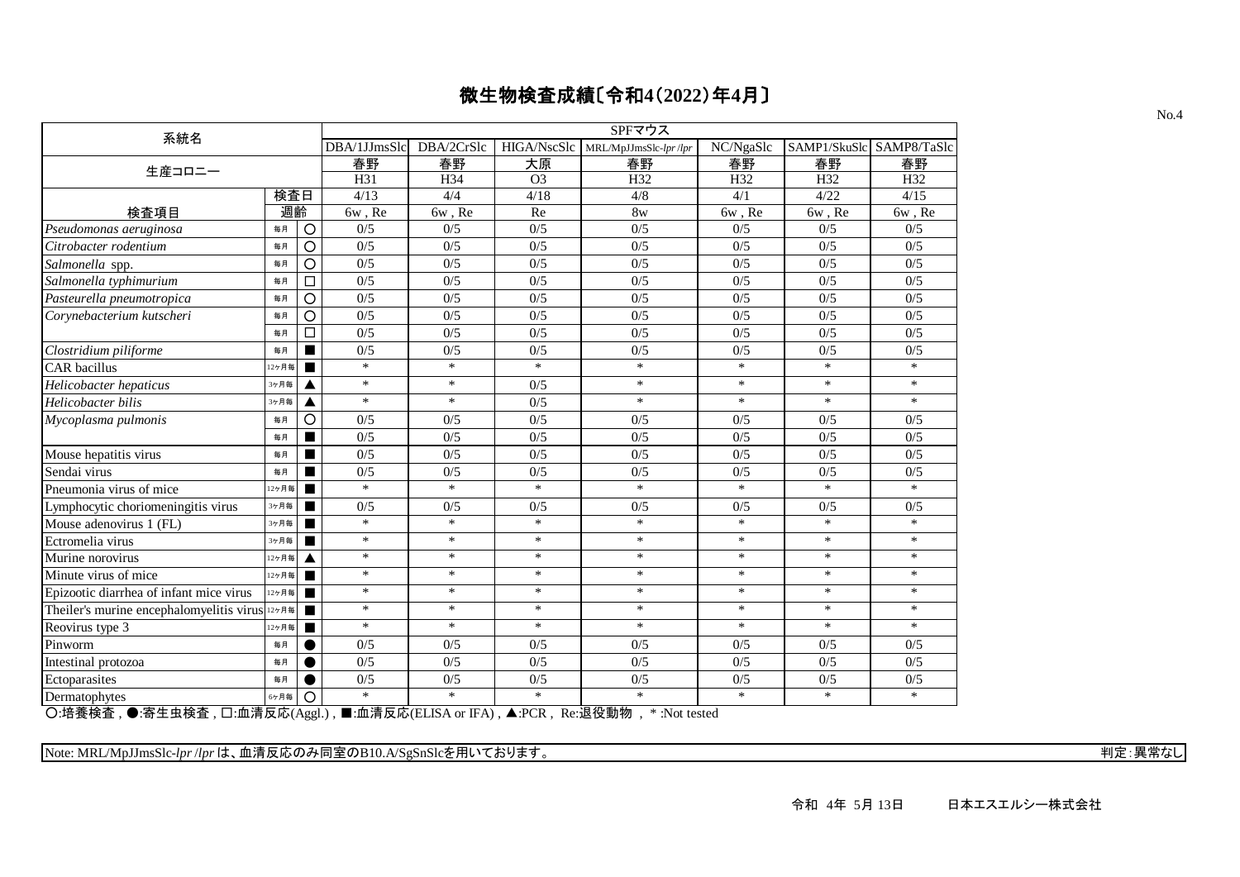|                                                    |       |                |              |             |                | SPFマウス                |           |              |             |
|----------------------------------------------------|-------|----------------|--------------|-------------|----------------|-----------------------|-----------|--------------|-------------|
| 系統名                                                |       |                | DBA/1JJmsSlc | DBA/2CrSlc  | HIGA/NscSlc    | MRL/MpJJmsSlc-lpr/lpr | NC/NgaSlc | SAMP1/SkuSlc | SAMP8/TaSlc |
| 生産コロニー                                             |       |                | 春野           | 春野          | 大原             | 春野                    | 春野        | 春野           | 春野          |
|                                                    |       |                | H31          | H34         | O <sub>3</sub> | H32                   | H32       | H32          | H32         |
|                                                    | 検査日   |                | 4/13         | 4/4         | 4/18           | 4/8                   | 4/1       | 4/22         | 4/15        |
| 検査項目                                               | 週齡    |                | 6w, Re       | $6w$ , $Re$ | Re             | 8w                    | 6w, Re    | 6w, Re       | 6w, Re      |
| Pseudomonas aeruginosa                             | 毎月    | O              | 0/5          | 0/5         | 0/5            | 0/5                   | 0/5       | 0/5          | 0/5         |
| Citrobacter rodentium                              | 毎月    | O              | 0/5          | 0/5         | 0/5            | 0/5                   | 0/5       | 0/5          | 0/5         |
| Salmonella spp.                                    | 毎月    | O              | 0/5          | 0/5         | 0/5            | 0/5                   | 0/5       | 0/5          | 0/5         |
| Salmonella typhimurium                             | 毎月    | □              | 0/5          | 0/5         | 0/5            | 0/5                   | 0/5       | 0/5          | 0/5         |
| Pasteurella pneumotropica                          | 毎月    | O              | 0/5          | 0/5         | 0/5            | 0/5                   | 0/5       | 0/5          | 0/5         |
| Corynebacterium kutscheri                          | 毎月    | O              | 0/5          | 0/5         | 0/5            | 0/5                   | 0/5       | 0/5          | 0/5         |
|                                                    | 毎月    | $\Box$         | 0/5          | 0/5         | 0/5            | 0/5                   | 0/5       | 0/5          | 0/5         |
| Clostridium piliforme                              | 毎月    |                | 0/5          | 0/5         | 0/5            | 0/5                   | 0/5       | 0/5          | 0/5         |
| CAR bacillus                                       | 12ヶ月毎 | $\blacksquare$ | $\ast$       | $\ast$      | $\ast$         | $\ast$                | $\ast$    | $\ast$       | $\ast$      |
| Helicobacter hepaticus                             | 3ヶ月毎  |                | $\ast$       | $\ast$      | 0/5            | $\ast$                | $\ast$    | $\ast$       | $\ast$      |
| Helicobacter bilis                                 | 3ヶ月毎  |                | $\ast$       | $\ast$      | 0/5            | $\ast$                | $\ast$    | $\ast$       | $\ast$      |
| Mycoplasma pulmonis                                | 毎月    | О              | 0/5          | 0/5         | 0/5            | 0/5                   | 0/5       | 0/5          | 0/5         |
|                                                    | 毎月    |                | 0/5          | 0/5         | 0/5            | 0/5                   | 0/5       | 0/5          | 0/5         |
| Mouse hepatitis virus                              | 毎月    |                | 0/5          | 0/5         | 0/5            | 0/5                   | 0/5       | 0/5          | 0/5         |
| Sendai virus                                       | 毎月    |                | 0/5          | 0/5         | 0/5            | 0/5                   | 0/5       | 0/5          | 0/5         |
| Pneumonia virus of mice                            | 12ヶ月毎 |                | $\ast$       | $\ast$      | $\ast$         | $\ast$                | $\ast$    | $\ast$       | $\ast$      |
| Lymphocytic choriomeningitis virus                 | 3ヶ月毎  |                | 0/5          | 0/5         | 0/5            | 0/5                   | 0/5       | 0/5          | 0/5         |
| Mouse adenovirus 1 (FL)                            | 3ヶ月毎  |                | $\ast$       | $\ast$      | $\ast$         | $\ast$                | $\ast$    | $\ast$       | $\ast$      |
| Ectromelia virus                                   | 3ヶ月毎  |                | $\ast$       | $\ast$      | $\ast$         | $\ast$                | $\ast$    | $\ast$       | $\ast$      |
| Murine norovirus                                   | 12ヶ月毎 | ▲              | $\ast$       | $\ast$      | $\ast$         | $\ast$                | $\ast$    | $\ast$       | $\ast$      |
| Minute virus of mice                               | 12ヶ月毎 |                | $\ast$       | $\ast$      | $\ast$         | $\ast$                | $\ast$    | $\ast$       | $\ast$      |
| Epizootic diarrhea of infant mice virus            | 12ヶ月毎 |                | $\ast$       | $\ast$      | $\ast$         | $\ast$                | $\ast$    | $\ast$       | $\ast$      |
| The iler's murine encephalomy elitis virus $1257B$ |       |                | $\ast$       | $\ast$      | $\ast$         | $\ast$                | $\ast$    | $\ast$       | $\ast$      |
| Reovirus type 3                                    | 12ヶ月毎 |                | $\ast$       | $\ast$      | $\ast$         | $\ast$                | $\ast$    | $\ast$       | $\ast$      |
| Pinworm                                            | 毎月    |                | 0/5          | 0/5         | 0/5            | 0/5                   | 0/5       | 0/5          | 0/5         |
| Intestinal protozoa                                | 毎月    |                | 0/5          | 0/5         | 0/5            | 0/5                   | 0/5       | 0/5          | 0/5         |
| Ectoparasites                                      | 毎月    |                | 0/5          | 0/5         | 0/5            | 0/5                   | 0/5       | 0/5          | 0/5         |
| Dermatophytes<br>$\overline{\bigcap_{i=1}^{n+1}}$  | 6ヶ月毎  | O              | $\ast$       | $\ast$      | $\ast$         | $\ast$                | $\ast$    | $\ast$       | $\ast$      |

○:培養検査 , ●:寄生虫検査 , □:血清反応(Aggl.) , ■:血清反応(ELISA or IFA) , ▲:PCR , Re:退役動物 , \* :Not tested

|Note: MRL/MpJJmsSlc-*lpr* /*lpr* は、血清反応のみ同室のB10.A/SgSnSlcを用いております。 インター・インター インター・コンプレート (現実:異常なし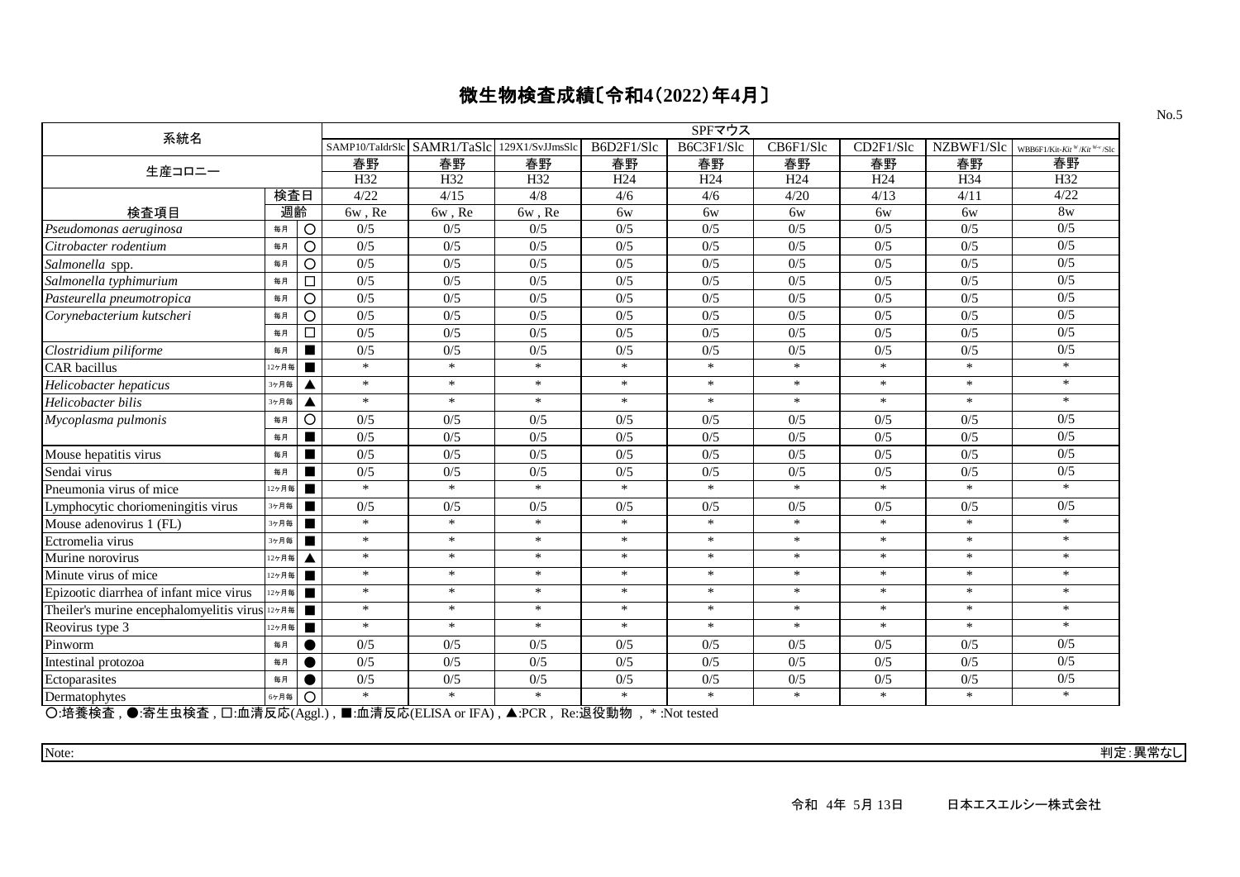| 系統名                                            |       |                |        |                             |                 |                   | SPFマウス          |                 |                 |            |                                    |
|------------------------------------------------|-------|----------------|--------|-----------------------------|-----------------|-------------------|-----------------|-----------------|-----------------|------------|------------------------------------|
|                                                |       |                |        | SAMP10/TaIdrSlc SAMR1/TaSlc | 129X1/SvJJmsSlc | B6D2F1/Slc        | B6C3F1/Slc      | CB6F1/Slc       | CD2F1/Slc       | NZBWF1/Slc | WBB6F1/Kit-Kit $W/K$ it $W^*$ /Slc |
| 生産コロニー                                         |       |                | 春野     | 春野                          | 春野              | 春野                | 春野              | 春野              | 春野              | 春野         | 春野                                 |
|                                                |       |                | H32    | H32                         | H32             | H <sub>24</sub>   | H <sub>24</sub> | H <sub>24</sub> | H <sub>24</sub> | H34        | H32                                |
|                                                | 検査日   |                | 4/22   | 4/15                        | 4/8             | 4/6               | 4/6             | 4/20            | 4/13            | 4/11       | 4/22                               |
| 検査項目                                           | 週齡    |                | 6w, Re | 6w, Re                      | 6w, Re          | 6w                | 6w              | 6w              | 6w              | 6w         | 8 <sub>w</sub>                     |
| Pseudomonas aeruginosa                         | 毎月    | $\circ$        | 0/5    | 0/5                         | 0/5             | $\overline{0/5}$  | 0/5             | 0/5             | 0/5             | 0/5        | 0/5                                |
| Citrobacter rodentium                          | 毎月    | $\circ$        | 0/5    | 0/5                         | 0/5             | 0/5               | 0/5             | 0/5             | 0/5             | 0/5        | 0/5                                |
| Salmonella spp.                                | 毎月    | O              | 0/5    | 0/5                         | 0/5             | 0/5               | 0/5             | 0/5             | 0/5             | 0/5        | 0/5                                |
| Salmonella typhimurium                         | 毎月    | $\Box$         | 0/5    | 0/5                         | 0/5             | 0/5               | 0/5             | 0/5             | 0/5             | 0/5        | 0/5                                |
| Pasteurella pneumotropica                      | 毎月    | $\circ$        | 0/5    | 0/5                         | 0/5             | 0/5               | 0/5             | 0/5             | 0/5             | 0/5        | 0/5                                |
| Corynebacterium kutscheri                      | 毎月    | O              | 0/5    | 0/5                         | 0/5             | 0/5               | 0/5             | 0/5             | 0/5             | 0/5        | 0/5                                |
|                                                | 毎月    | $\Box$         | 0/5    | 0/5                         | 0/5             | 0/5               | 0/5             | 0/5             | 0/5             | 0/5        | 0/5                                |
| Clostridium piliforme                          | 毎月    | $\blacksquare$ | 0/5    | 0/5                         | 0/5             | 0/5               | 0/5             | 0/5             | 0/5             | 0/5        | 0/5                                |
| CAR bacillus                                   | 12ヶ月毎 | п              | $\ast$ | $\ast$                      | $\ast$          | $\ast$            | $\ast$          | $\ast$          | $\ast$          | $\ast$     | $\ast$                             |
| Helicobacter hepaticus                         | 3ヶ月毎  |                | $\ast$ | $\ast$                      | $\ast$          | $\ast$            | $\ast$          | $\ast$          | $\ast$          | $\ast$     | $\ast$                             |
| Helicobacter bilis                             | 3ヶ月毎  |                | $\ast$ | $\ast$                      | $\ast$          | $\ast$            | $\ast$          | $\ast$          | $\ast$          | $\ast$     | $\ast$                             |
| Mycoplasma pulmonis                            | 毎月    | $\circ$        | 0/5    | 0/5                         | 0/5             | 0/5               | 0/5             | 0/5             | 0/5             | 0/5        | 0/5                                |
|                                                | 毎月    | $\blacksquare$ | 0/5    | 0/5                         | 0/5             | 0/5               | 0/5             | 0/5             | 0/5             | 0/5        | 0/5                                |
| Mouse hepatitis virus                          | 毎月    | $\blacksquare$ | 0/5    | 0/5                         | 0/5             | 0/5               | 0/5             | 0/5             | 0/5             | 0/5        | 0/5                                |
| Sendai virus                                   | 毎月    | $\blacksquare$ | 0/5    | 0/5                         | 0/5             | 0/5               | 0/5             | 0/5             | 0/5             | 0/5        | 0/5                                |
| Pneumonia virus of mice                        | 12ヶ月毎 | п              | $\ast$ | $\ast$                      | $\ast$          | $\ast$            | $\ast$          | $\ast$          | $\ast$          | $\ast$     | $\ast$                             |
| Lymphocytic choriomeningitis virus             | 3ヶ月毎  | $\blacksquare$ | 0/5    | 0/5                         | 0/5             | 0/5               | 0/5             | 0/5             | 0/5             | 0/5        | 0/5                                |
| Mouse adenovirus 1 (FL)                        | 3ヶ月毎  | п              | $\ast$ | $\ast$                      | $\ast$          | $\ast$            | $\ast$          | $\ast$          | $\ast$          | $\ast$     | $\ast$                             |
| Ectromelia virus                               | 3ヶ月毎  | $\blacksquare$ | $\ast$ | $\ast$                      | $\ast$          | $\ast$            | $\ast$          | $\ast$          | $\ast$          | $\ast$     | $\ast$                             |
| Murine norovirus                               | 12ヶ月毎 |                | $\ast$ | $\ast$                      | $\ast$          | $\ast$            | $\ast$          | $\ast$          | $\ast$          | $\ast$     | *                                  |
| Minute virus of mice                           | 12ヶ月毎 | п              | $\ast$ | $\ast$                      | $\ast$          | $\ast$            | $\ast$          | $\ast$          | $\ast$          | $\ast$     | $\ast$                             |
| Epizootic diarrhea of infant mice virus        | 12ヶ月毎 | п              | $\ast$ | $\ast$                      | $\ast$          | $\ast$            | $\ast$          | $\ast$          | $\ast$          | $\ast$     | $\ast$                             |
| Theiler's murine encephalomyelitis virus 127 A |       | п              | $\ast$ | $\ast$                      | $\ast$          | $\ast$            | $\ast$          | $\ast$          | $\ast$          | $\ast$     | $\ast$                             |
| Reovirus type 3                                | 12ヶ月毎 | $\blacksquare$ | $\ast$ | $\ast$                      | $\ast$          | $\ast$            | $\ast$          | $\ast$          | $\ast$          | $\ast$     | $\ast$                             |
| Pinworm                                        | 毎月    | $\bullet$      | 0/5    | 0/5                         | 0/5             | 0/5               | 0/5             | 0/5             | 0/5             | 0/5        | 0/5                                |
| Intestinal protozoa                            | 毎月    | ●              | 0/5    | 0/5                         | 0/5             | 0/5               | 0/5             | 0/5             | 0/5             | 0/5        | 0/5                                |
| Ectoparasites                                  | 毎月    | $\epsilon$     | 0/5    | 0/5                         | 0/5             | 0/5               | 0/5             | 0/5             | 0/5             | 0/5        | 0/5                                |
| Dermatophytes                                  | 6ヶ月毎  | O              | $\ast$ | $\ast$                      | $\ast$          | $\ast$<br>$-7.77$ | $\ast$          | $\ast$          | $\ast$          | $\ast$     | $\ast$                             |

○:培養検査 , ●:寄生虫検査 , □:血清反応(Aggl.) , ■:血清反応(ELISA or IFA) , ▲:PCR , Re:退役動物 , \* :Not tested

Note: 判定:異常なし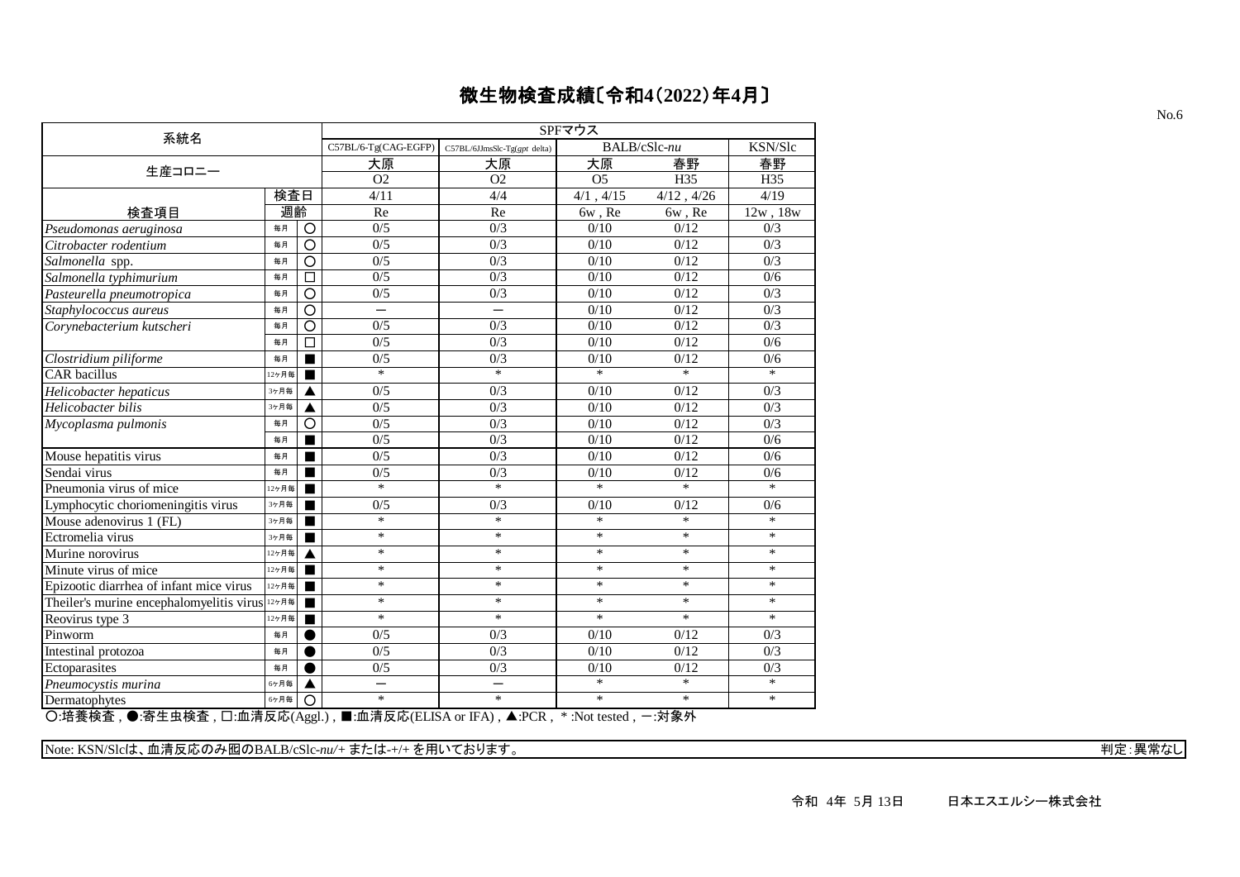| 系統名                                                                                                                                                                                                                         |       |                    |                          |                              | SPFマウス         |                         |                  |
|-----------------------------------------------------------------------------------------------------------------------------------------------------------------------------------------------------------------------------|-------|--------------------|--------------------------|------------------------------|----------------|-------------------------|------------------|
|                                                                                                                                                                                                                             |       |                    | C57BL/6-Tg(CAG-EGFP)     | C57BL/6JJmsSlc-Tg(gpt delta) |                | BALB/cSlc-nu            | KSN/Slc          |
| 生産コロニー                                                                                                                                                                                                                      |       |                    | 大原                       | 大原                           | 大原             | 春野                      | 春野               |
|                                                                                                                                                                                                                             |       |                    | O <sub>2</sub>           | O <sub>2</sub>               | O <sub>5</sub> | H35                     | H35              |
|                                                                                                                                                                                                                             | 検査日   |                    | 4/11                     | 4/4                          | 4/1, 4/15      | $\frac{1}{4}$ /12, 4/26 | 4/19             |
| 検査項目                                                                                                                                                                                                                        | 週齡    |                    | Re                       | Re                           | 6w, Re         | 6w, Re                  | 12w, 18w         |
| Pseudomonas aeruginosa                                                                                                                                                                                                      | 毎月    | $\overline{\rm O}$ | 0/5                      | 0/3                          | 0/10           | 0/12                    | 0/3              |
| Citrobacter rodentium                                                                                                                                                                                                       | 毎月    | $\overline{\circ}$ | 0/5                      | 0/3                          | 0/10           | 0/12                    | 0/3              |
| Salmonella spp.                                                                                                                                                                                                             | 毎月    | $\overline{\circ}$ | $\overline{0/5}$         | 0/3                          | 0/10           | 0/12                    | $\overline{0/3}$ |
| Salmonella typhimurium                                                                                                                                                                                                      | 毎月    | $\Box$             | 0/5                      | 0/3                          | 0/10           | 0/12                    | 0/6              |
| Pasteurella pneumotropica                                                                                                                                                                                                   | 毎月    | $\overline{\circ}$ | 0/5                      | 0/3                          | 0/10           | 0/12                    | 0/3              |
| Staphylococcus aureus                                                                                                                                                                                                       | 毎月    | $\overline{O}$     | $\overline{\phantom{0}}$ | $\overline{\phantom{0}}$     | 0/10           | 0/12                    | 0/3              |
| Corynebacterium kutscheri                                                                                                                                                                                                   | 毎月    | $\overline{\circ}$ | $\overline{0/5}$         | 0/3                          | 0/10           | 0/12                    | $\overline{0/3}$ |
|                                                                                                                                                                                                                             | 毎月    | $\Box$             | 0/5                      | 0/3                          | 0/10           | 0/12                    | 0/6              |
| Clostridium piliforme                                                                                                                                                                                                       | 毎月    | $\blacksquare$     | $\overline{0/5}$         | 0/3                          | 0/10           | 0/12                    | 0/6              |
| <b>CAR</b> bacillus                                                                                                                                                                                                         | 12ヶ月毎 | $\blacksquare$     | $\ast$                   | $\ast$                       | $\ast$         | $\ast$                  | $\ast$           |
| Helicobacter hepaticus                                                                                                                                                                                                      | 3ヶ月毎  | ▲                  | 0/5                      | 0/3                          | 0/10           | 0/12                    | 0/3              |
| Helicobacter bilis                                                                                                                                                                                                          | 3ヶ月毎  | ▲                  | 0/5                      | 0/3                          | 0/10           | 0/12                    | 0/3              |
| Mycoplasma pulmonis                                                                                                                                                                                                         | 毎月    | O                  | 0/5                      | 0/3                          | 0/10           | 0/12                    | 0/3              |
|                                                                                                                                                                                                                             | 毎月    | П                  | 0/5                      | 0/3                          | 0/10           | 0/12                    | 0/6              |
| Mouse hepatitis virus                                                                                                                                                                                                       | 毎月    | $\blacksquare$     | 0/5                      | 0/3                          | 0/10           | 0/12                    | 0/6              |
| Sendai virus                                                                                                                                                                                                                | 毎月    | н                  | 0/5                      | 0/3                          | 0/10           | 0/12                    | 0/6              |
| Pneumonia virus of mice                                                                                                                                                                                                     | 12ヶ月毎 | ■                  | $\ast$                   | $\ast$                       | $\ast$         | $\ast$                  | $\ast$           |
| Lymphocytic choriomeningitis virus                                                                                                                                                                                          | 3ヶ月毎  | ■                  | 0/5                      | 0/3                          | 0/10           | 0/12                    | 0/6              |
| Mouse adenovirus 1 (FL)                                                                                                                                                                                                     | 3ヶ月毎  | $\blacksquare$     | $\ast$                   | $\ast$                       | $\ast$         | $\ast$                  | $\ast$           |
| Ectromelia virus                                                                                                                                                                                                            | 3ヶ月毎  | $\blacksquare$     | $\ast$                   | $\ast$                       | $\ast$         | $\ast$                  | $\ast$           |
| Murine norovirus                                                                                                                                                                                                            | 12ヶ月毎 |                    | $\ast$                   | $\ast$                       | $\ast$         | $\ast$                  | $\ast$           |
| Minute virus of mice                                                                                                                                                                                                        | 12ヶ月毎 | $\blacksquare$     | $\ast$                   | $\ast$                       | $\ast$         | $\ast$                  | $\ast$           |
| Epizootic diarrhea of infant mice virus                                                                                                                                                                                     | 12ヶ月毎 | ■                  | $\ast$                   | $\ast$                       | $\ast$         | $\ast$                  | $\ast$           |
| Theiler's murine encephalomyelitis virus $12\tau$ $\overline{AB}$                                                                                                                                                           |       |                    | $\ast$                   | $\ast$                       | $\ast$         | $\ast$                  | $\ast$           |
| Reovirus type 3                                                                                                                                                                                                             | 12ヶ月毎 | $\blacksquare$     | $\ast$                   | $\ast$                       | $\ast$         | $\ast$                  | $\ast$           |
| Pinworm                                                                                                                                                                                                                     | 毎月    | 0                  | 0/5                      | 0/3                          | 0/10           | 0/12                    | 0/3              |
| Intestinal protozoa                                                                                                                                                                                                         | 毎月    | ●                  | $\overline{0/5}$         | 0/3                          | 0/10           | 0/12                    | 0/3              |
| Ectoparasites                                                                                                                                                                                                               | 毎月    | $\bullet$          | $\overline{0/5}$         | 0/3                          | 0/10           | 0/12                    | 0/3              |
| Pneumocystis murina                                                                                                                                                                                                         | 6ヶ月毎  | ▲                  | $\overline{\phantom{0}}$ |                              | $\ast$         | $\ast$                  | $\ast$           |
| Dermatophytes<br>$\overline{\bigcap_{i}H}$ $\overline{H}$ $\overline{H}$ $\overline{H}$ $\overline{H}$ $\overline{H}$ $\overline{H}$ $\overline{H}$ $\overline{H}$ $\overline{H}$ $\overline{H}$ $\overline{H}$<br>□ 赤洼口虎 △ | 6ヶ月毎  | $\circ$            | $\ast$<br>■ 而注口亡/□□□▲    | $\ast$                       | $\ast$         | $\ast$<br>꾸면 버          | $\ast$           |

○:培養検査 , ●:寄生虫検査 , □:血清反応(Aggl.) , ■:血清反応(ELISA or IFA) , ▲:PCR , \* :Not tested , -:対象外

|Note: KSN/Slcは、血清反応のみ囮のBALB/cSlc-nu/+ または-+/+ を用いております。 <br>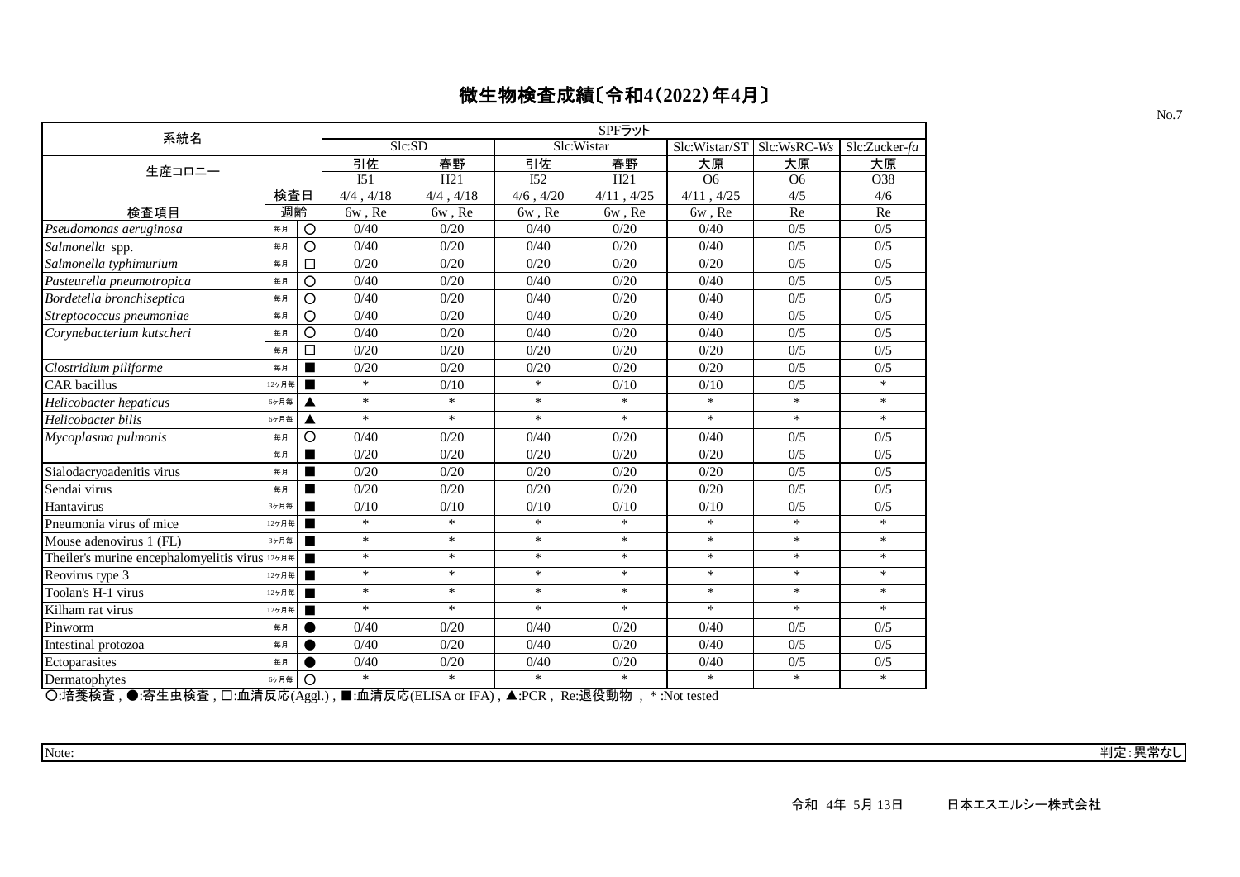|                                                |       |         |                 |                |                 | SPFラット     |                |                |               |
|------------------------------------------------|-------|---------|-----------------|----------------|-----------------|------------|----------------|----------------|---------------|
| 系統名                                            |       |         |                 | Slc:SD         |                 | Slc:Wistar | Slc:Wistar/ST  | Slc:WsRC-Ws    | Slc:Zucker-fa |
| 生産コロニー                                         |       |         | 引佐              | 春野             | 引佐              | 春野         | 大原             | 大原             | 大原            |
|                                                |       |         | I <sub>51</sub> | H21            | I <sub>52</sub> | H21        | O <sub>6</sub> | O <sub>6</sub> | O38           |
|                                                | 検査日   |         | $4/4$ , $4/18$  | $4/4$ , $4/18$ | $4/6$ , $4/20$  | 4/11, 4/25 | 4/11, 4/25     | 4/5            | 4/6           |
| 検査項目                                           | 週齡    |         | 6w, Re          | 6w, Re         | 6w, Re          | 6w, Re     | 6w, Re         | Re             | Re            |
| Pseudomonas aeruginosa                         | 毎月    | $\circ$ | 0/40            | 0/20           | 0/40            | 0/20       | 0/40           | 0/5            | 0/5           |
| Salmonella spp.                                | 毎月    | O       | 0/40            | 0/20           | 0/40            | 0/20       | 0/40           | 0/5            | 0/5           |
| Salmonella typhimurium                         | 毎月    | □       | 0/20            | 0/20           | 0/20            | 0/20       | 0/20           | 0/5            | 0/5           |
| Pasteurella pneumotropica                      | 毎月    | O       | 0/40            | 0/20           | 0/40            | 0/20       | 0/40           | 0/5            | 0/5           |
| Bordetella bronchiseptica                      | 毎月    | O       | 0/40            | 0/20           | 0/40            | 0/20       | 0/40           | 0/5            | 0/5           |
| Streptococcus pneumoniae                       | 毎月    | O       | 0/40            | 0/20           | 0/40            | 0/20       | 0/40           | 0/5            | 0/5           |
| Corynebacterium kutscheri                      | 毎月    | O       | 0/40            | 0/20           | 0/40            | 0/20       | 0/40           | 0/5            | 0/5           |
|                                                | 毎月    | □       | 0/20            | 0/20           | 0/20            | 0/20       | 0/20           | 0/5            | 0/5           |
| Clostridium piliforme                          | 毎月    |         | 0/20            | 0/20           | 0/20            | 0/20       | 0/20           | 0/5            | 0/5           |
| <b>CAR</b> bacillus                            | 12ヶ月毎 |         | $\ast$          | 0/10           | $\ast$          | 0/10       | 0/10           | 0/5            | $\ast$        |
| Helicobacter hepaticus                         | 6ヶ月毎  |         | $\ast$          | $\ast$         | $\ast$          | $\ast$     | $\ast$         | $\ast$         | $\ast$        |
| Helicobacter bilis                             | 6ヶ月毎  |         | $\ast$          | $\ast$         | $\ast$          | *          | $\ast$         | $\ast$         | $\ast$        |
| Mycoplasma pulmonis                            | 每月    | O       | 0/40            | 0/20           | 0/40            | 0/20       | 0/40           | 0/5            | 0/5           |
|                                                | 毎月    |         | 0/20            | 0/20           | 0/20            | 0/20       | 0/20           | 0/5            | 0/5           |
| Sialodacryoadenitis virus                      | 毎月    |         | 0/20            | 0/20           | 0/20            | 0/20       | 0/20           | 0/5            | 0/5           |
| Sendai virus                                   | 毎月    |         | 0/20            | 0/20           | 0/20            | 0/20       | 0/20           | 0/5            | 0/5           |
| Hantavirus                                     | 3ヶ月毎  |         | 0/10            | 0/10           | 0/10            | 0/10       | 0/10           | 0/5            | 0/5           |
| Pneumonia virus of mice                        | 12ヶ月毎 |         | $\ast$          | $\ast$         | $\ast$          | $\ast$     | $\ast$         | $\ast$         | $\ast$        |
| Mouse adenovirus 1 (FL)                        | 3ヶ月毎  |         | $\ast$          | $\ast$         | $\ast$          | $\ast$     | $\ast$         | $\ast$         | $\ast$        |
| Theiler's murine encephalomyelitis virus 127 H |       |         | $\ast$          | $\ast$         | $\ast$          | $\ast$     | $\ast$         | $\ast$         | $\ast$        |
| Reovirus type 3                                | 12ヶ月毎 |         | $\ast$          | $\ast$         | $\ast$          | $\ast$     | $\ast$         | $\ast$         | $\ast$        |
| Toolan's H-1 virus                             | 12ヶ月毎 |         | $\ast$          | $\ast$         | $\ast$          | $\ast$     | $\ast$         | $\ast$         | $\ast$        |
| Kilham rat virus                               | 12ヶ月毎 |         | $\ast$          | $\ast$         | $\ast$          | $\ast$     | $\ast$         | $\ast$         | $\ast$        |
| Pinworm                                        | 毎月    |         | 0/40            | 0/20           | 0/40            | 0/20       | 0/40           | 0/5            | 0/5           |
| Intestinal protozoa                            | 毎月    |         | 0/40            | 0/20           | 0/40            | 0/20       | 0/40           | 0/5            | 0/5           |
| Ectoparasites                                  | 毎月    |         | 0/40            | 0/20           | 0/40            | 0/20       | 0/40           | 0/5            | 0/5           |
| Dermatophytes                                  | 6ヶ月毎  | O       | $\ast$          | $\ast$         | $\ast$          | *          | *              | $\ast$         | $\ast$        |

○:培養検査 , ●:寄生虫検査 , □:血清反応(Aggl.) , ■:血清反応(ELISA or IFA) , ▲:PCR , Re:退役動物 , \* :Not tested

Note: 判定:異常なし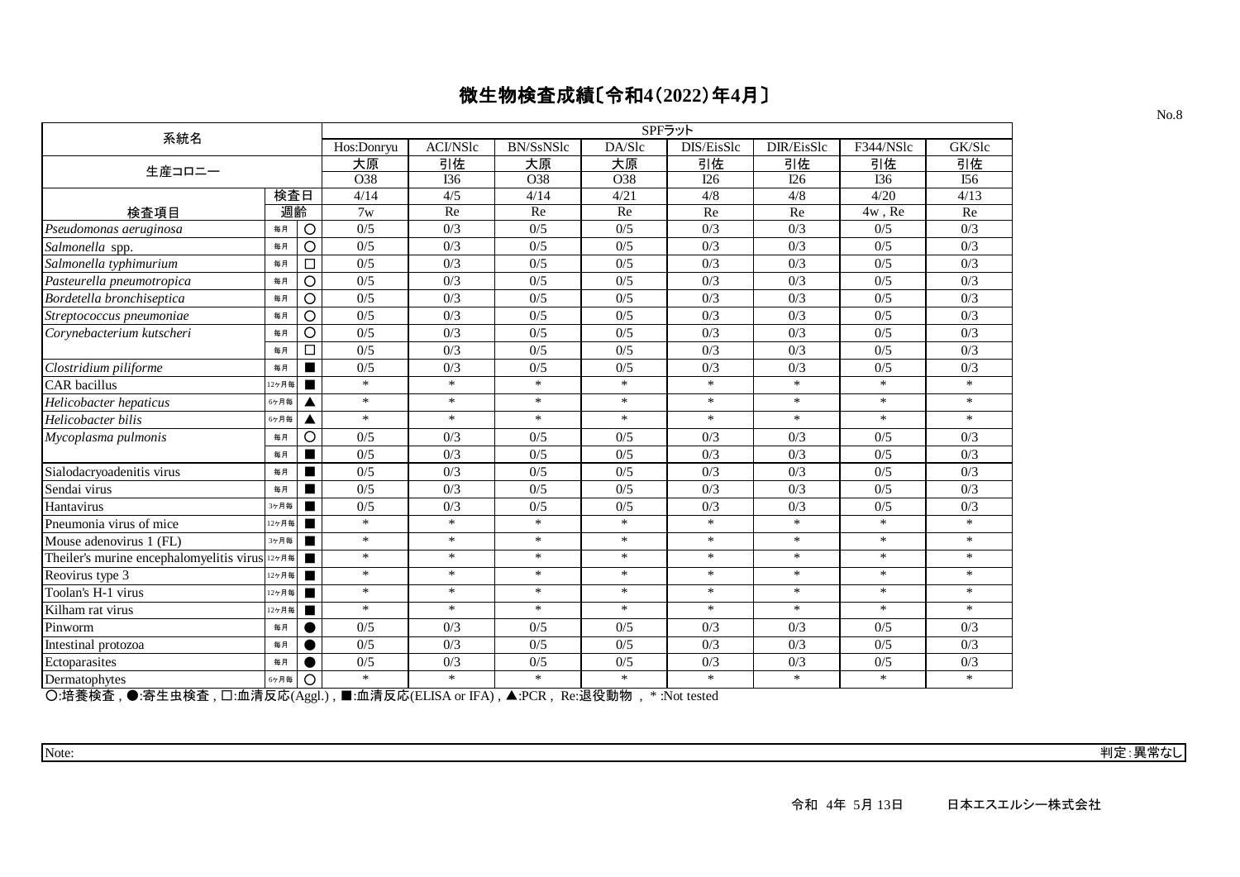|                                                |       |                |            |                     |                                      | SPFラット                     |                  |            |           |        |
|------------------------------------------------|-------|----------------|------------|---------------------|--------------------------------------|----------------------------|------------------|------------|-----------|--------|
| 系統名                                            |       |                | Hos:Donryu | <b>ACI/NSlc</b>     | BN/SsNSlc                            | DA/Slc                     | DIS/EisSlc       | DIR/EisSlc | F344/NSlc | GK/Slc |
| 生産コロニー                                         |       |                | 大原         | 引佐                  | 大原                                   | 大原                         | 引佐               | 引佐         | 引佐        | 引佐     |
|                                                |       |                | O38        | I36                 | O38                                  | O38                        | I26              | I26        | I36       | I56    |
|                                                | 検査日   |                | 4/14       | $\overline{4/5}$    | 4/14                                 | 4/21                       | $\overline{4/8}$ | 4/8        | 4/20      | 4/13   |
| 検査項目                                           | 週齡    |                | 7w         | Re                  | Re                                   | Re                         | Re               | Re         | $4w$ , Re | Re     |
| Pseudomonas aeruginosa                         | 毎月    | $\circ$        | 0/5        | 0/3                 | 0/5                                  | 0/5                        | 0/3              | 0/3        | 0/5       | 0/3    |
| Salmonella spp.                                | 毎月    | $\overline{O}$ | 0/5        | 0/3                 | 0/5                                  | 0/5                        | 0/3              | 0/3        | 0/5       | 0/3    |
| Salmonella typhimurium                         | 毎月    | $\Box$         | 0/5        | 0/3                 | 0/5                                  | 0/5                        | 0/3              | 0/3        | 0/5       | 0/3    |
| Pasteurella pneumotropica                      | 毎月    | $\circ$        | 0/5        | 0/3                 | 0/5                                  | 0/5                        | 0/3              | 0/3        | 0/5       | 0/3    |
| Bordetella bronchiseptica                      | 毎月    | $\circ$        | 0/5        | 0/3                 | 0/5                                  | 0/5                        | 0/3              | 0/3        | 0/5       | 0/3    |
| Streptococcus pneumoniae                       | 毎月    | $\circ$        | 0/5        | 0/3                 | 0/5                                  | 0/5                        | 0/3              | 0/3        | 0/5       | 0/3    |
| Corynebacterium kutscheri                      | 毎月    | $\circ$        | 0/5        | 0/3                 | 0/5                                  | 0/5                        | 0/3              | 0/3        | 0/5       | 0/3    |
|                                                | 毎月    | □              | 0/5        | 0/3                 | 0/5                                  | 0/5                        | 0/3              | 0/3        | 0/5       | 0/3    |
| Clostridium piliforme                          | 每月    |                | 0/5        | 0/3                 | 0/5                                  | 0/5                        | 0/3              | 0/3        | 0/5       | 0/3    |
| <b>CAR</b> bacillus                            | 12ヶ月毎 | $\blacksquare$ | $\ast$     | $\ast$              | $\ast$                               | $\ast$                     | $\ast$           | $\ast$     | $\ast$    | $\ast$ |
| Helicobacter hepaticus                         | 6ヶ月毎  | ◢              | $\ast$     | $\ast$              | $\ast$                               | $\ast$                     | $\ast$           | $\ast$     | $\ast$    | $\ast$ |
| Helicobacter bilis                             | 6ヶ月毎  | ◢              | $\ast$     | $\ast$              | $\ast$                               | $\ast$                     | $\ast$           | $\ast$     | $\ast$    | $\ast$ |
| Mycoplasma pulmonis                            | 毎月    | O              | 0/5        | 0/3                 | 0/5                                  | 0/5                        | 0/3              | 0/3        | 0/5       | 0/3    |
|                                                | 毎月    | ш              | 0/5        | 0/3                 | 0/5                                  | 0/5                        | 0/3              | 0/3        | 0/5       | 0/3    |
| Sialodacryoadenitis virus                      | 毎月    | п              | 0/5        | 0/3                 | 0/5                                  | 0/5                        | 0/3              | 0/3        | 0/5       | 0/3    |
| Sendai virus                                   | 毎月    |                | 0/5        | 0/3                 | 0/5                                  | 0/5                        | 0/3              | 0/3        | 0/5       | 0/3    |
| Hantavirus                                     | 3ヶ月毎  |                | 0/5        | 0/3                 | 0/5                                  | 0/5                        | 0/3              | 0/3        | 0/5       | 0/3    |
| Pneumonia virus of mice                        | 12ヶ月毎 | $\blacksquare$ | $\ast$     | $\ast$              | $\ast$                               | $\ast$                     | $\ast$           | $\ast$     | $\ast$    | $\ast$ |
| Mouse adenovirus 1 (FL)                        | 3ヶ月毎  | $\blacksquare$ | $\ast$     | $\ast$              | $\ast$                               | $\ast$                     | $\ast$           | $\ast$     | $\ast$    | $\ast$ |
| Theiler's murine encephalomyelitis virus 127 H |       |                | $\ast$     | $\ast$              | $\ast$                               | $\ast$                     | $\ast$           | $\ast$     | $\ast$    | $\ast$ |
| Reovirus type 3                                | 12ヶ月毎 |                | $\ast$     | $\ast$              | $\ast$                               | $\ast$                     | $\ast$           | $\ast$     | $\ast$    | $\ast$ |
| Toolan's H-1 virus                             | 12ヶ月毎 | $\blacksquare$ | $\ast$     | $\ast$              | $\ast$                               | $\ast$                     | $\ast$           | $\ast$     | $\ast$    | $\ast$ |
| Kilham rat virus                               | 12ヶ月毎 | $\blacksquare$ | $\ast$     | $\ast$              | $\ast$                               | $\ast$                     | $\ast$           | $\ast$     | $\ast$    | $\ast$ |
| Pinworm                                        | 毎月    |                | 0/5        | 0/3                 | 0/5                                  | 0/5                        | 0/3              | 0/3        | 0/5       | 0/3    |
| Intestinal protozoa                            | 毎月    |                | 0/5        | 0/3                 | 0/5                                  | 0/5                        | 0/3              | 0/3        | 0/5       | 0/3    |
| Ectoparasites                                  | 毎月    |                | 0/5        | 0/3                 | 0/5                                  | 0/5                        | 0/3              | 0/3        | 0/5       | 0/3    |
| Dermatophytes<br>$\lambda$<br>------           | 6ヶ月毎  | $\circ$        | $\ast$     | $\ast$<br>$T = 1.5$ | $\ast$<br>$\sqrt{2}$<br>$\mathbf{r}$ | $\ast$<br><b>YELKOLEAL</b> | $\ast$           | $\ast$     | $\ast$    | $\ast$ |

○:培養検査 , ●:寄生虫検査 , □:血清反応(Aggl.) , ■:血清反応(ELISA or IFA) , ▲:PCR , Re:退役動物 , \* :Not tested

Note: 判定:異常なし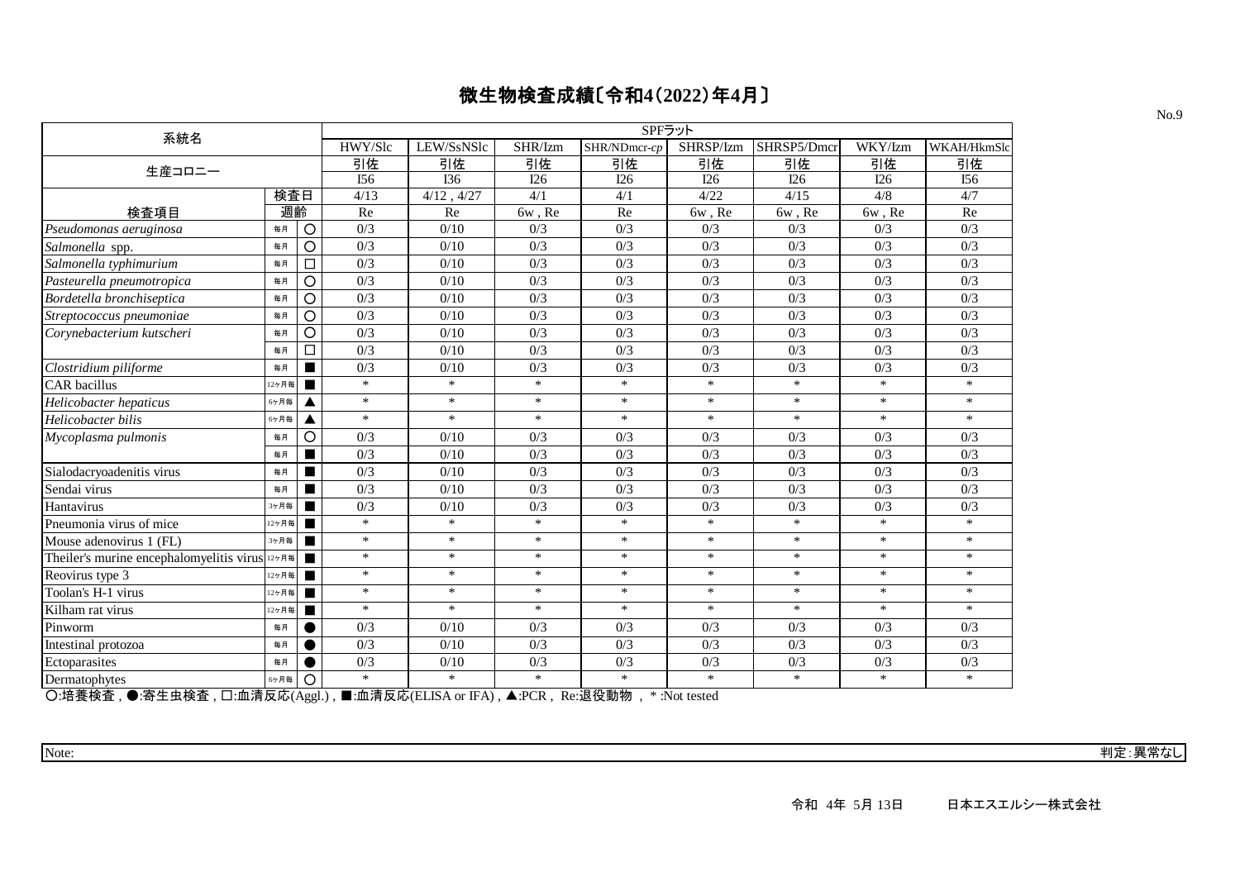| 系統名                                                    |       |                | SPFラット           |            |         |                           |           |             |                  |             |  |  |
|--------------------------------------------------------|-------|----------------|------------------|------------|---------|---------------------------|-----------|-------------|------------------|-------------|--|--|
|                                                        |       |                | HWY/Slc          | LEW/SsNSlc | SHR/Izm | SHR/NDmcr-cp              | SHRSP/Izm | SHRSP5/Dmcr | WKY/Izm          | WKAH/HkmSlc |  |  |
| 生産コロニー                                                 |       |                | 引佐               | 引佐         | 引佐      | 引佐                        | 引佐        | 引佐          | 引佐               | 引佐          |  |  |
|                                                        |       |                | I56              | I36        | I26     | I26                       | I26       | I26         | I26              | I56         |  |  |
|                                                        | 検査日   |                | 4/13             | 4/12, 4/27 | 4/1     | 4/1                       | 4/22      | 4/15        | $\overline{4/8}$ | 4/7         |  |  |
| 検査項目                                                   | 週齡    |                | Re               | Re         | 6w, Re  | Re                        | 6w, Re    | $6w$ , $Re$ | 6w, Re           | Re          |  |  |
| Pseudomonas aeruginosa                                 | 毎月    | $\circ$        | 0/3              | 0/10       | 0/3     | 0/3                       | 0/3       | 0/3         | 0/3              | 0/3         |  |  |
| Salmonella spp.                                        | 毎月    | $\circ$        | 0/3              | 0/10       | 0/3     | 0/3                       | 0/3       | 0/3         | 0/3              | 0/3         |  |  |
| Salmonella typhimurium                                 | 毎月    | □              | 0/3              | 0/10       | 0/3     | 0/3                       | 0/3       | 0/3         | 0/3              | 0/3         |  |  |
| Pasteurella pneumotropica                              | 毎月    | $\circ$        | 0/3              | 0/10       | 0/3     | 0/3                       | 0/3       | 0/3         | 0/3              | 0/3         |  |  |
| Bordetella bronchiseptica                              | 毎月    | $\circ$        | 0/3              | 0/10       | 0/3     | 0/3                       | 0/3       | 0/3         | 0/3              | 0/3         |  |  |
| Streptococcus pneumoniae                               | 毎月    | $\circ$        | 0/3              | 0/10       | 0/3     | 0/3                       | 0/3       | 0/3         | 0/3              | 0/3         |  |  |
| Corynebacterium kutscheri                              | 毎月    | $\circ$        | 0/3              | 0/10       | 0/3     | 0/3                       | 0/3       | 0/3         | 0/3              | 0/3         |  |  |
|                                                        | 毎月    | □              | 0/3              | 0/10       | 0/3     | 0/3                       | 0/3       | 0/3         | 0/3              | 0/3         |  |  |
| Clostridium piliforme                                  | 毎月    | $\blacksquare$ | 0/3              | 0/10       | 0/3     | 0/3                       | 0/3       | 0/3         | 0/3              | 0/3         |  |  |
| <b>CAR</b> bacillus                                    | 12ヶ月毎 |                | $\ast$           | $\ast$     | $\ast$  | $\ast$                    | $\ast$    | $\ast$      | $\ast$           | $\ast$      |  |  |
| Helicobacter hepaticus                                 | 6ヶ月毎  | ▲              | $\ast$           | $\ast$     | $\ast$  | $\ast$                    | $\ast$    | $\ast$      | $\ast$           | $\ast$      |  |  |
| Helicobacter bilis                                     | 6ヶ月毎  | ◢              | $\ast$           | $\ast$     | $\ast$  | $\ast$                    | $\ast$    | $\ast$      | $\ast$           | $\ast$      |  |  |
| Mycoplasma pulmonis                                    | 毎月    | $\circ$        | 0/3              | 0/10       | 0/3     | 0/3                       | 0/3       | 0/3         | 0/3              | 0/3         |  |  |
|                                                        | 毎月    | п              | 0/3              | 0/10       | 0/3     | 0/3                       | 0/3       | 0/3         | 0/3              | 0/3         |  |  |
| Sialodacryoadenitis virus                              | 毎月    | $\blacksquare$ | 0/3              | 0/10       | 0/3     | 0/3                       | 0/3       | 0/3         | 0/3              | 0/3         |  |  |
| Sendai virus                                           | 毎月    |                | 0/3              | 0/10       | 0/3     | 0/3                       | 0/3       | 0/3         | 0/3              | 0/3         |  |  |
| Hantavirus                                             | 3ヶ月毎  | п              | 0/3              | 0/10       | 0/3     | 0/3                       | 0/3       | 0/3         | 0/3              | 0/3         |  |  |
| Pneumonia virus of mice                                | 12ヶ月毎 | $\blacksquare$ | $\ast$           | $\ast$     | $\ast$  | $\ast$                    | $\ast$    | $\ast$      | $\ast$           | $\ast$      |  |  |
| Mouse adenovirus 1 (FL)                                | 3ヶ月毎  | $\blacksquare$ | $\ast$           | $\ast$     | $\ast$  | $\ast$                    | $\ast$    | $\ast$      | $\ast$           | $\ast$      |  |  |
| Theiler's murine encephalomyelitis virus $12\pi\pi\pi$ |       |                | $\ast$           | $\ast$     | $\ast$  | $\ast$                    | $\ast$    | $\ast$      | $\ast$           | $\ast$      |  |  |
| Reovirus type 3                                        | 12ヶ月毎 | $\blacksquare$ | $\ast$           | $\ast$     | $\ast$  | $\ast$                    | $\ast$    | $\ast$      | $\ast$           | $\ast$      |  |  |
| Toolan's H-1 virus                                     | 12ヶ月毎 | $\blacksquare$ | $\ast$           | $\ast$     | $\ast$  | $\ast$                    | $\ast$    | $\ast$      | $\ast$           | $\ast$      |  |  |
| Kilham rat virus                                       | 12ヶ月毎 | ш              | $\ast$           | $\ast$     | $\ast$  | $\ast$                    | $\ast$    | $\ast$      | $\ast$           | $\ast$      |  |  |
| Pinworm                                                | 毎月    |                | 0/3              | 0/10       | 0/3     | 0/3                       | 0/3       | 0/3         | 0/3              | 0/3         |  |  |
| Intestinal protozoa                                    | 毎月    |                | 0/3              | 0/10       | 0/3     | 0/3                       | 0/3       | 0/3         | 0/3              | 0/3         |  |  |
| Ectoparasites                                          | 毎月    |                | 0/3              | 0/10       | 0/3     | 0/3                       | 0/3       | 0/3         | 0/3              | 0/3         |  |  |
| Dermatophytes<br>ᅐᅠᅠᆭᆇᄿᆂ                               | 6ヶ月毎  | $\circ$        | $\ast$<br>++-+-- | $\ast$     | $\ast$  | $\ast$<br>$5 - 25.4 + 44$ | $\ast$    | $\ast$      | $\ast$           | $\ast$      |  |  |

○:培養検査 , ●:寄生虫検査 , □:血清反応(Aggl.) , ■:血清反応(ELISA or IFA) , ▲:PCR , Re:退役動物 , \* :Not tested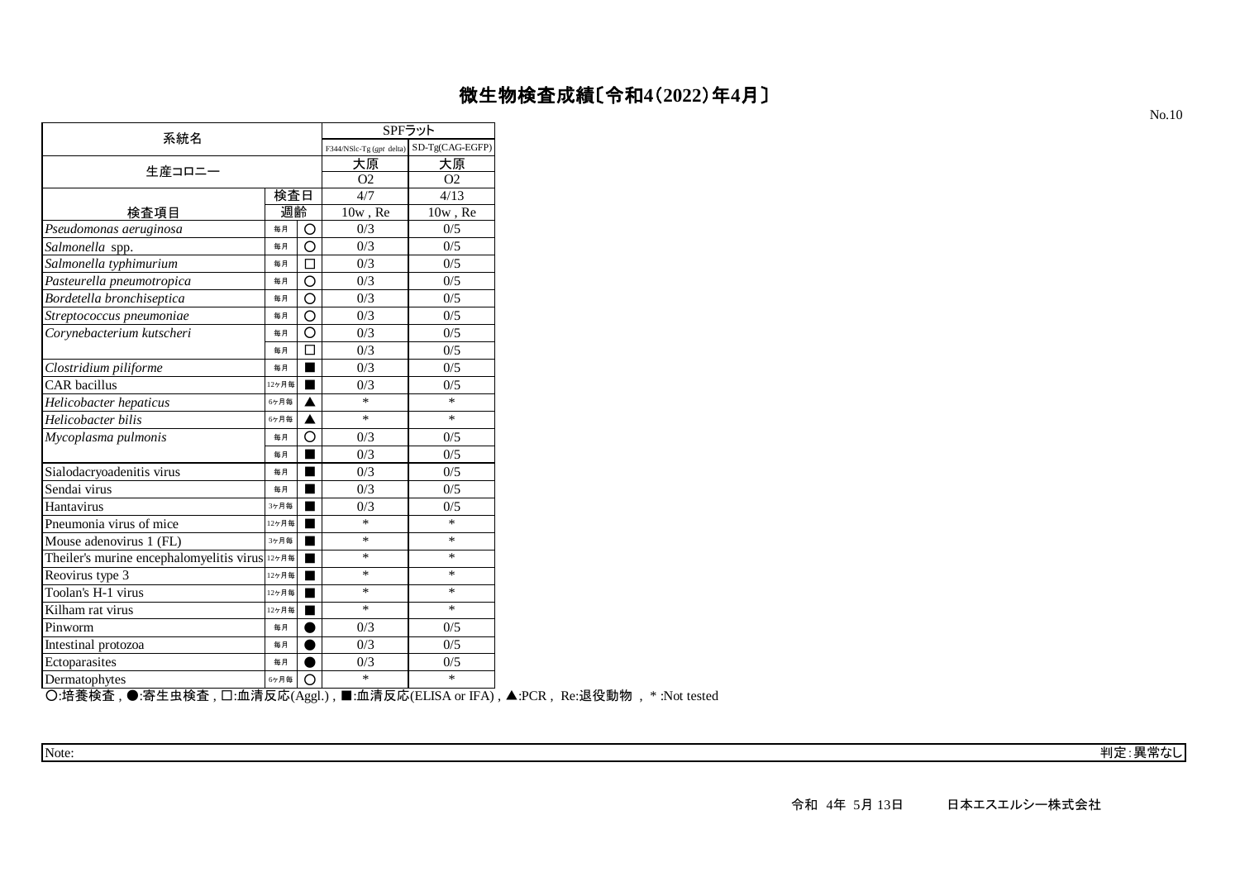| 系統名                                      |       |                |                          | SPFラット          |
|------------------------------------------|-------|----------------|--------------------------|-----------------|
|                                          |       |                | F344/NSlc-Tg (gpt delta) | SD-Tg(CAG-EGFP) |
| 生産コロニー                                   |       |                | 大原                       | 大原              |
|                                          |       |                | O <sub>2</sub>           | O <sub>2</sub>  |
|                                          | 検査日   |                | 4/7                      | 4/13            |
| 検査項目                                     | 週齡    |                | $10w$ , Re               | $10w$ , Re      |
| Pseudomonas aeruginosa                   | 毎月    | Ο              | 0/3                      | 0/5             |
| Salmonella spp.                          | 每月    | O              | 0/3                      | 0/5             |
| Salmonella typhimurium                   | 每月    | П              | 0/3                      | 0/5             |
| Pasteurella pneumotropica                | 每月    | O              | 0/3                      | 0/5             |
| Bordetella bronchiseptica                | 毎月    | O              | 0/3                      | 0/5             |
| Streptococcus pneumoniae                 | 毎月    | O              | 0/3                      | 0/5             |
| Corynebacterium kutscheri                | 毎月    | Ω              | 0/3                      | 0/5             |
|                                          | 毎月    | П              | 0/3                      | 0/5             |
| Clostridium piliforme                    | 毎月    |                | 0/3                      | 0/5             |
| <b>CAR</b> bacillus                      | 12ヶ月毎 |                | 0/3                      | 0/5             |
| Helicobacter hepaticus                   | 6ヶ月毎  |                | $\ast$                   | $\ast$          |
| Helicobacter bilis                       | 6ヶ月毎  |                | $\ast$                   | $\ast$          |
| Mycoplasma pulmonis                      | 毎月    | Ω              | 0/3                      | 0/5             |
|                                          | 毎月    |                | 0/3                      | 0/5             |
| Sialodacryoadenitis virus                | 毎月    |                | 0/3                      | 0/5             |
| Sendai virus                             | 毎月    |                | 0/3                      | 0/5             |
| Hantavirus                               | 3ヶ月毎  | $\blacksquare$ | 0/3                      | 0/5             |
| Pneumonia virus of mice                  | 12ヶ月毎 |                | *                        | *               |
| Mouse adenovirus 1 (FL)                  | 3ヶ月毎  |                | *                        | $\ast$          |
| Theiler's murine encephalomyelitis virus | 12ヶ月毎 | ٠              | *                        | *               |
| Reovirus type 3                          | 12ヶ月毎 |                | *                        | *               |
| Toolan's H-1 virus                       | 12ヶ月毎 |                | *                        | *               |
| Kilham rat virus                         | 12ヶ月毎 |                | $\ast$                   | $\ast$          |
| Pinworm                                  | 毎月    |                | 0/3                      | 0/5             |
| Intestinal protozoa                      | 毎月    |                | 0/3                      | 0/5             |
| Ectoparasites                            | 毎月    |                | 0/3                      | 0/5             |
| Dermatophytes                            | 6ヶ月毎  | Ω              | *                        | *               |

○:培養検査 , ●:寄生虫検査 , □:血清反応(Aggl.) , ■:血清反応(ELISA or IFA) , ▲:PCR , Re:退役動物 , \* :Not tested

Note: 判定:異常なし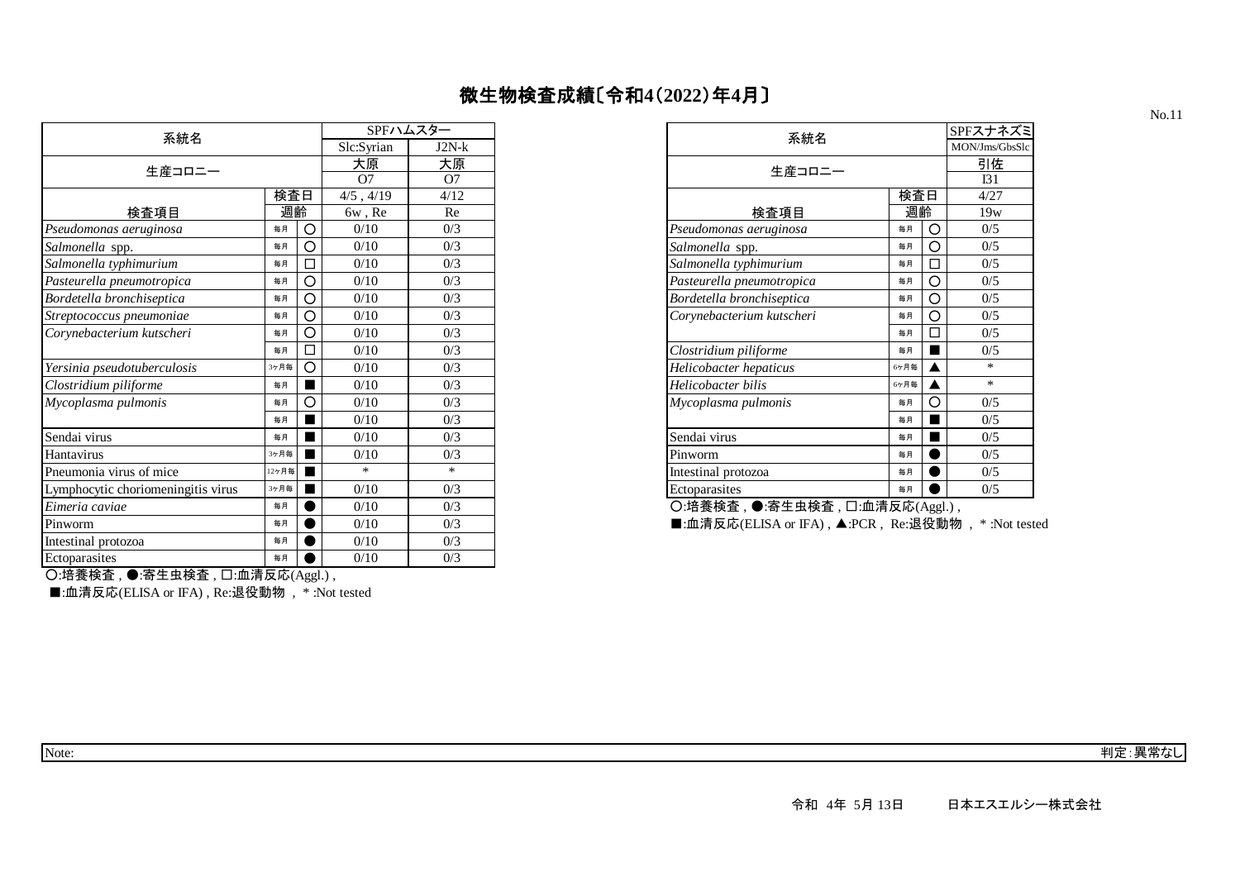| 系統名                                |       |   |                | SPFハムスター       | 系統名                                           |     | SPFスナ    |
|------------------------------------|-------|---|----------------|----------------|-----------------------------------------------|-----|----------|
|                                    |       |   | Slc:Syrian     | $J2N-k$        |                                               |     | MON/Jms/ |
| 生産コロニー                             |       |   | 大原             | 大原             | 生産コロニー                                        |     |          |
|                                    |       |   | O7             | O <sub>7</sub> |                                               |     |          |
|                                    | 検査日   |   | $4/5$ , $4/19$ | 4/12           |                                               | 検査日 |          |
| 検査項目                               | 週齡    |   | 6w, Re         | Re             | 検査項目                                          | 週齡  |          |
| Pseudomonas aeruginosa             | 毎月    | O | 0/10           | 0/3            | Pseudomonas aeruginosa<br>毎月                  | O   |          |
| Salmonella spp.                    | 毎月    | О | 0/10           | 0/3            | Salmonella spp.<br>毎月                         |     | Ω        |
| Salmonella typhimurium             | 毎月    | ❏ | 0/10           | 0/3            | Salmonella typhimurium<br>毎月                  |     |          |
| Pasteurella pneumotropica          | 毎月    | O | 0/10           | 0/3            | Pasteurella pneumotropica<br>毎月               | O   |          |
| Bordetella bronchiseptica          | 毎月    | O | 0/10           | 0/3            | Bordetella bronchiseptica<br>毎月               | О   |          |
| Streptococcus pneumoniae           | 毎月    | O | 0/10           | 0/3            | Corynebacterium kutscheri<br>毎月               | O   |          |
| Corynebacterium kutscheri          | 毎月    | О | 0/10           | 0/3            | 毎月                                            |     |          |
|                                    | 毎月    | ⊡ | 0/10           | 0/3            | Clostridium piliforme<br>毎月                   |     |          |
| Yersinia pseudotuberculosis        | 3ヶ月毎  | O | 0/10           | 0/3            | Helicobacter hepaticus<br>6ヶ月毎                |     |          |
| Clostridium piliforme              | 毎月    |   | 0/10           | 0/3            | Helicobacter bilis<br>6ヶ月毎                    |     |          |
| Mycoplasma pulmonis                | 毎月    | О | 0/10           | 0/3            | Mycoplasma pulmonis<br>毎月                     |     | О        |
|                                    | 毎月    |   | 0/10           | 0/3            | 毎月                                            |     |          |
| Sendai virus                       | 毎月    |   | 0/10           | 0/3            | Sendai virus<br>毎月                            |     |          |
| Hantavirus                         | 3ヶ月毎  | ■ | 0/10           | 0/3            | Pinworm<br>毎月                                 |     |          |
| Pneumonia virus of mice            | 12ヶ月毎 |   | $\ast$         | $\ast$         | Intestinal protozoa<br>毎月                     |     |          |
| Lymphocytic choriomeningitis virus | 3ヶ月毎  |   | 0/10           | 0/3            | Ectoparasites<br>毎月                           |     |          |
| Eimeria caviae                     | 毎月    |   | 0/10           | 0/3            | ○:培養検査, ●:寄生虫検査, 口:血清反応(Aggl.),               |     |          |
| Pinworm                            | 毎月    |   | 0/10           | 0/3            | ■:血清反応(ELISA or IFA) , ▲:PCR , Re:退役動物 , * :N |     |          |
| Intestinal protozoa                | 毎月    |   | 0/10           | 0/3            |                                               |     |          |
| Ectoparasites                      | 毎月    |   | 0/10           | 0/3            |                                               |     |          |

|     |   |                | SPFハムスター       |
|-----|---|----------------|----------------|
|     |   | Slc:Syrian     | $J2N-k$        |
|     |   | 大原             | 大原             |
|     |   | O <sub>7</sub> | O <sub>7</sub> |
| 検査日 |   | $4/5$ , $4/19$ | 4/12           |
| 週齡  |   | 6w, Re         | Re             |
| 毎月  | O | 0/10           | 0/3            |
| 毎月  | O | 0/10           | 0/3            |
| 毎月  | П | 0/10           | 0/3            |
| 毎月  | O | 0/10           | 0/3            |
| 毎月  | O | 0/10           | 0/3            |
| 毎月  | Ω | 0/10           | 0/3            |
| 毎月  | O | 0/10           | 0/3            |
| 毎月  | □ | 0/10           | 0/3            |
| ヶ月毎 | O | 0/10           | 0/3            |
| 毎月  |   | 0/10           | 0/3            |
| 毎月  | O | 0/10           | 0/3            |
| 毎月  |   | 0/10           | 0/3            |
| 毎月  |   | 0/10           | 0/3            |
| ヶ月毎 |   | 0/10           | 0/3            |
| ヶ月毎 |   | $\ast$         | *              |
| 7月毎 |   | 0/10           | 0/3            |
| 毎日  |   | 0/10           | 0/3            |

■:血清反応(ELISA or IFA), ▲:PCR, Re:退役動物, \*:Not tested

 $\overline{O}$ :培養検査,  $\bullet$ :寄生虫検査,  $\square$ :血清反応 $(Aggl.)$ ,

■:血清反応(ELISA or IFA) , Re:退役動物 , \* :Not tested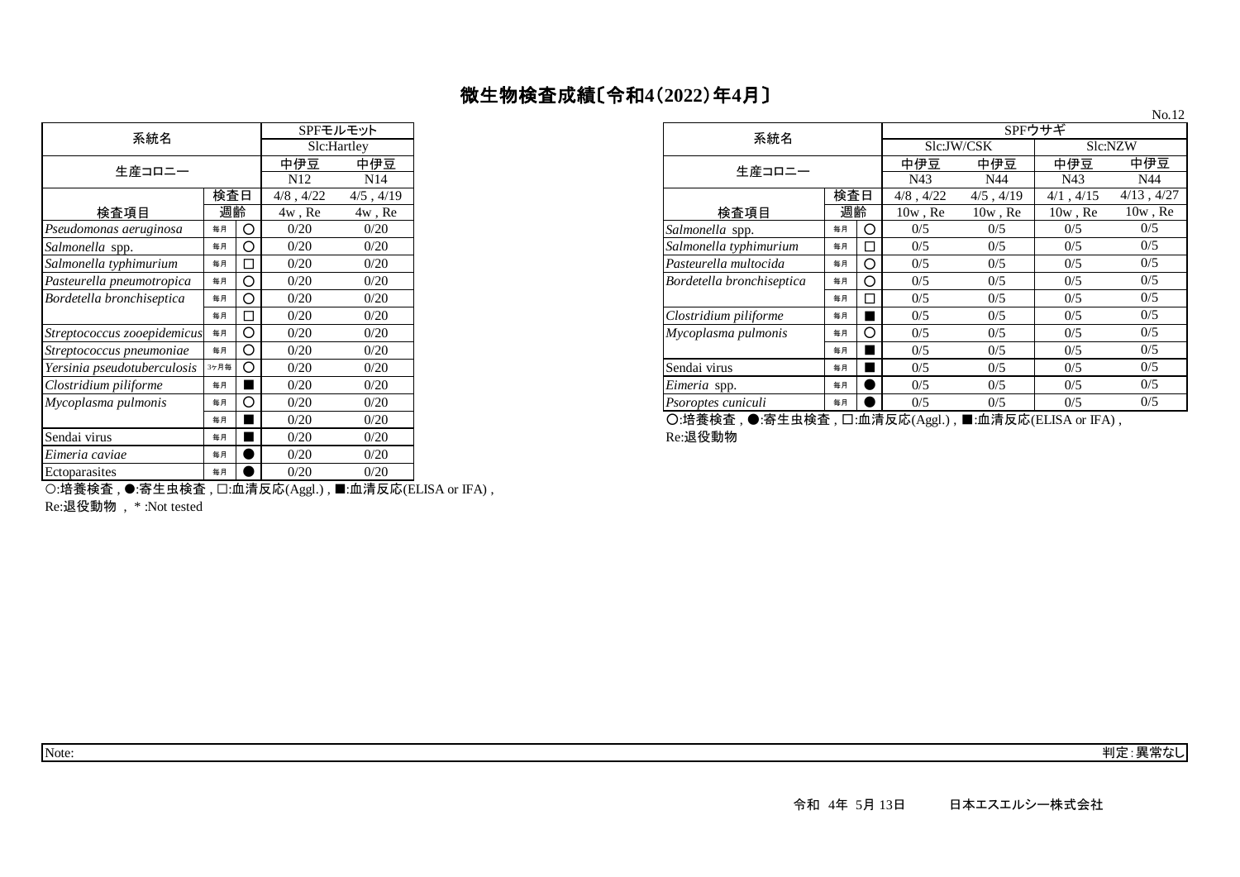| 系統名                         |      |   |                 | SPFモルモット        |  |
|-----------------------------|------|---|-----------------|-----------------|--|
|                             |      |   | Slc:Hartley     |                 |  |
| 生産コロニー                      |      |   | 中伊豆             | 中伊豆             |  |
|                             |      |   | N <sub>12</sub> | N <sub>14</sub> |  |
| 検査日                         |      |   | $4/8$ , $4/22$  | $4/5$ , $4/19$  |  |
| 検査項目                        | 週齡   |   | $4w$ , Re       | $4w$ , Re       |  |
| Pseudomonas aeruginosa      | 毎月   | С | 0/20            | 0/20            |  |
| Salmonella spp.             | 毎月   | Ω | 0/20            | 0/20            |  |
| Salmonella typhimurium      | 毎月   |   | 0/20            | 0/20            |  |
| Pasteurella pneumotropica   | 毎月   | O | 0/20            | 0/20            |  |
| Bordetella bronchiseptica   | 毎月   | O | 0/20            | 0/20            |  |
|                             | 毎月   |   | 0/20            | 0/20            |  |
| Streptococcus zooepidemicus | 毎月   | O | 0/20            | 0/20            |  |
| Streptococcus pneumoniae    | 毎月   | ∩ | 0/20            | 0/20            |  |
| Yersinia pseudotuberculosis | 3ヶ月毎 | Ω | 0/20            | 0/20            |  |
| Clostridium piliforme       | 毎月   |   | 0/20            | 0/20            |  |
| Mycoplasma pulmonis         | 毎月   | O | 0/20            | 0/20            |  |
|                             | 毎月   |   | 0/20            | 0/20            |  |
| Sendai virus                | 毎月   |   | 0/20            | 0/20            |  |
| Eimeria caviae              | 毎月   |   | 0/20            | 0/20            |  |
| Ectoparasites               | 毎月   |   | 0/20            | 0/20            |  |
|                             |      |   |                 |                 |  |

| 系統名                             |      |         | SPFモルモット        |                |  |
|---------------------------------|------|---------|-----------------|----------------|--|
|                                 |      |         | Slc:Hartley     |                |  |
| 生産コロニー                          |      |         | 中伊豆             | 中伊豆            |  |
|                                 |      |         | N <sub>12</sub> | N14            |  |
|                                 | 検査日  |         | $4/8$ , $4/22$  | $4/5$ , $4/19$ |  |
| 検査項目                            | 週齡   |         | $4w$ , Re       | 4w, Re         |  |
| Pseudomonas aeruginosa          | 毎月   | $\circ$ | 0/20            | 0/20           |  |
| Salmonella spp.                 | 毎月   | O       | 0/20            | 0/20           |  |
| Salmonella typhimurium          | 毎月   | $\Box$  | 0/20            | 0/20           |  |
| Pasteurella pneumotropica       | 毎月   | O       | 0/20            | 0/20           |  |
| Bordetella bronchiseptica<br>毎月 |      | $\circ$ | 0/20            | 0/20           |  |
|                                 | 毎月   | $\Box$  | 0/20            | 0/20           |  |
| Streptococcus zooepidemicus     | 毎月   | O       | 0/20            | 0/20           |  |
| Streptococcus pneumoniae<br>毎月  |      | O       | 0/20            | 0/20           |  |
| Yersinia pseudotuberculosis     | 3ヶ月毎 | $\circ$ | 0/20            | 0/20           |  |
| Clostridium piliforme           | 毎月   |         | 0/20            | 0/20           |  |
| Mycoplasma pulmonis             | 毎月   | O       | 0/20            | 0/20           |  |

 $\overline{O}$ :培養検査 , ●:寄生虫検査 ,  $\Box$ :血清反応(Aggl.) , ■:血清反応(ELISA or IFA) , Re:退役動物

 $\overline{O}$ :培養検査 , ●:寄生虫検査 ,  $\Box$ :血清反応(Aggl.) , ■:血清反応(ELISA or IFA) ,

Re:退役動物 , \* :Not tested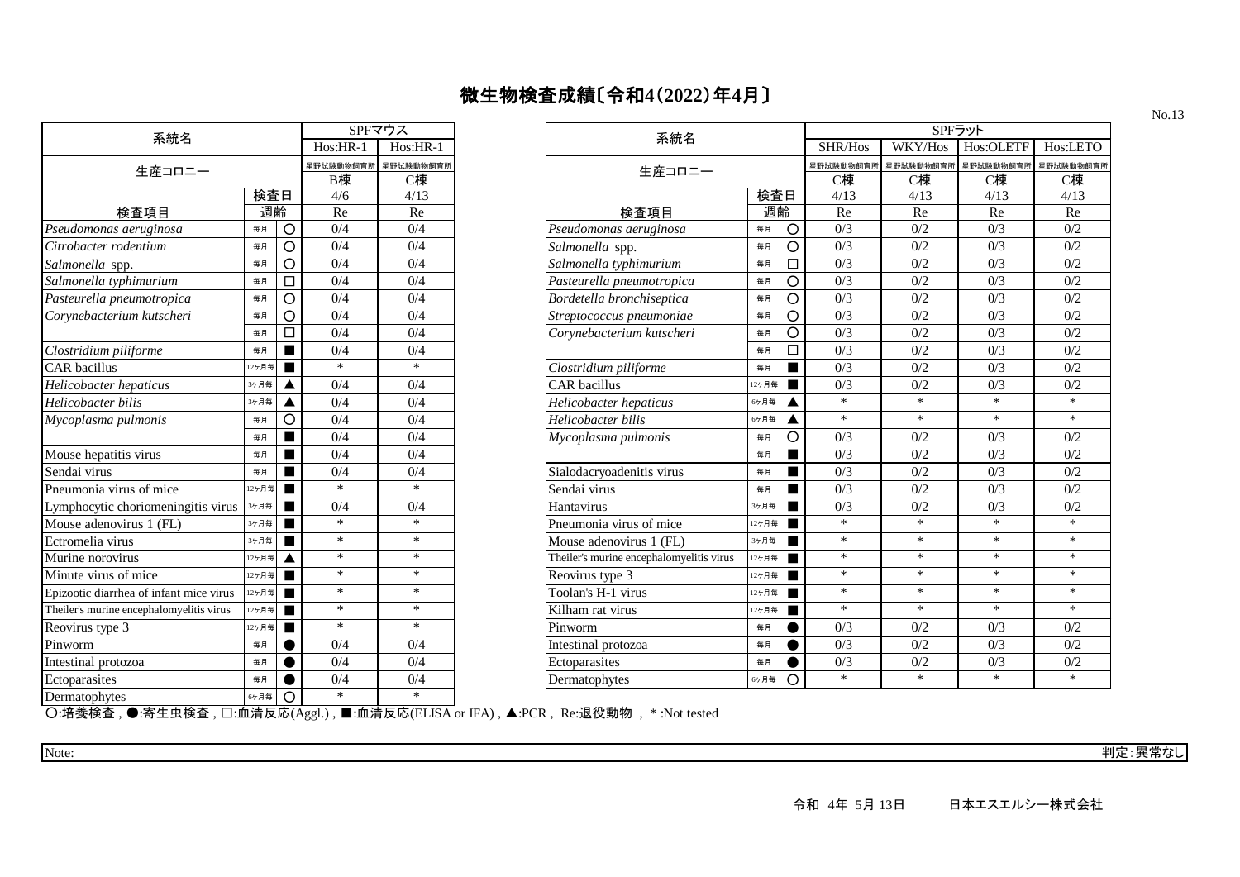| 系統名                                      | SPFマウス |   |            |            |  |  |  |
|------------------------------------------|--------|---|------------|------------|--|--|--|
|                                          |        |   | $Hos:HR-1$ | $Hos:HR-1$ |  |  |  |
| 生産コロニー                                   |        |   | 星野試験動物飼育所  | 星野試験動物飼育所  |  |  |  |
|                                          |        |   | B棟<br>4/6  | C棟<br>4/13 |  |  |  |
|                                          | 検査日    |   |            |            |  |  |  |
| 検査項目                                     | 週齡     |   | Re         | Re         |  |  |  |
| Pseudomonas aeruginosa                   | 每月     | O | 0/4        | 0/4        |  |  |  |
| Citrobacter rodentium                    | 毎月     | O | 0/4        | 0/4        |  |  |  |
| Salmonella spp.                          | 毎月     | O | 0/4        | 0/4        |  |  |  |
| Salmonella typhimurium                   | 毎月     | П | 0/4        | 0/4        |  |  |  |
| Pasteurella pneumotropica                | 毎月     | O | 0/4        | 0/4        |  |  |  |
| Corynebacterium kutscheri                | 每月     | O | 0/4        | 0/4        |  |  |  |
|                                          | 毎月     |   | 0/4        | 0/4        |  |  |  |
| Clostridium piliforme                    | 每月     | ٠ | 0/4        | 0/4        |  |  |  |
| <b>CAR</b> bacillus                      | 12ヶ月毎  | ■ | $\ast$     | $\ast$     |  |  |  |
| Helicobacter hepaticus                   | 3ヶ月毎   | ▲ | 0/4        | 0/4        |  |  |  |
| Helicobacter bilis                       | 3ヶ月毎   | ▲ | 0/4        | 0/4        |  |  |  |
| Mycoplasma pulmonis                      | 毎月     | O | 0/4        | 0/4        |  |  |  |
|                                          | 毎月     |   | 0/4        | 0/4        |  |  |  |
| Mouse hepatitis virus                    | 每月     |   | 0/4        | 0/4        |  |  |  |
| Sendai virus                             | 毎月     |   | 0/4        | 0/4        |  |  |  |
| Pneumonia virus of mice                  | 12ヶ月毎  |   | $\ast$     | $\ast$     |  |  |  |
| Lymphocytic choriomeningitis virus       | 3ヶ月毎   |   | 0/4        | 0/4        |  |  |  |
| Mouse adenovirus 1 (FL)                  | 3ヶ月毎   | ▅ | $\ast$     | *          |  |  |  |
| Ectromelia virus                         | 3ヶ月毎   |   | $\ast$     | *          |  |  |  |
| Murine norovirus                         | 12ヶ月毎  | ▲ | $\ast$     | *          |  |  |  |
| Minute virus of mice                     | 12ヶ月毎  | ▅ | $\ast$     | *          |  |  |  |
| Epizootic diarrhea of infant mice virus  | 12ヶ月毎  | ■ | *          | $\ast$     |  |  |  |
| Theiler's murine encephalomyelitis virus | 12ヶ月毎  | ▅ | ∗          | *          |  |  |  |
| Reovirus type 3                          | 12ヶ月毎  |   | $\ast$     | *          |  |  |  |
| Pinworm                                  | 每月     |   | 0/4        | 0/4        |  |  |  |
| Intestinal protozoa                      | 毎月     |   | 0/4        | 0/4        |  |  |  |
| Ectoparasites                            | 毎月     |   | 0/4        | 0/4        |  |  |  |
| Dermatophytes                            | 6ヶ月毎   | ∩ | $\ast$     | *          |  |  |  |

| 系統名                                      |       |                | SPFマウス     |           | 系統名                                      |       |                | SPFラット         |           |           |           |
|------------------------------------------|-------|----------------|------------|-----------|------------------------------------------|-------|----------------|----------------|-----------|-----------|-----------|
|                                          |       |                | $Hos:HR-1$ | Hos:HR-1  |                                          |       |                |                |           |           | Hos:LETO  |
| 生産コロニー                                   |       |                | 星野試験動物飼育所  | 星野試験動物飼育所 | 生産コロニー                                   |       |                | 星野試験動物飼育<br>C棟 | 星野試験動物飼育所 | 星野試験動物飼育所 | 星野試験動物飼育所 |
|                                          |       |                | B棟         | C棟        |                                          |       |                |                | C棟        | C棟        | C棟        |
| 検査日                                      |       |                | 4/6        | 4/13      |                                          | 検査日   |                | 4/13           | 4/13      | 4/13      | 4/13      |
| 検査項目                                     | 週齡    |                | Re         | Re        | 検査項目                                     | 週齡    |                | Re             | Re        | Re        | Re        |
| Pseudomonas aeruginosa                   | 毎月    | $\bigcirc$     | 0/4        | 0/4       | Pseudomonas aeruginosa                   | 毎月    | $\circ$        | 0/3            | 0/2       | 0/3       | 0/2       |
| Citrobacter rodentium                    | 毎月    | $\circ$        | 0/4        | 0/4       | Salmonella spp.                          | 毎月    | $\circ$        | 0/3            | 0/2       | 0/3       | 0/2       |
| Salmonella spp.                          | 毎月    | O              | 0/4        | 0/4       | Salmonella typhimurium                   | 毎月    | □              | 0/3            | 0/2       | 0/3       | 0/2       |
| Salmonella typhimurium                   | 毎月    | □              | 0/4        | 0/4       | Pasteurella pneumotropica                | 毎月    | O              | 0/3            | 0/2       | 0/3       | 0/2       |
| Pasteurella pneumotropica                | 毎月    | O              | 0/4        | 0/4       | Bordetella bronchiseptica                | 毎月    | O              | 0/3            | 0/2       | 0/3       | 0/2       |
| Corynebacterium kutscheri                | 毎月    | O              | 0/4        | 0/4       | Streptococcus pneumoniae                 | 毎月    | $\circ$        | 0/3            | 0/2       | 0/3       | 0/2       |
|                                          | 毎月    | $\Box$         | 0/4        | 0/4       | Corynebacterium kutscheri                | 毎月    | O              | 0/3            | 0/2       | 0/3       | 0/2       |
| Clostridium piliforme                    | 毎月    | $\blacksquare$ | 0/4        | 0/4       |                                          | 毎月    | □              | 0/3            | 0/2       | 0/3       | 0/2       |
| CAR bacillus                             | 12ヶ月毎 | $\blacksquare$ | $\ast$     | $\ast$    | Clostridium piliforme                    | 毎月    | $\blacksquare$ | 0/3            | 0/2       | 0/3       | 0/2       |
| Helicobacter hepaticus                   | 3ヶ月毎  | ▲              | 0/4        | 0/4       | <b>CAR</b> bacillus                      | 12ヶ月毎 | $\blacksquare$ | 0/3            | 0/2       | 0/3       | 0/2       |
| Helicobacter bilis                       | 3ヶ月毎  |                | 0/4        | 0/4       | Helicobacter hepaticus                   | 6ヶ月毎  |                | $\ast$         | $\ast$    | $\ast$    | $\ast$    |
| Mycoplasma pulmonis                      | 毎月    | O              | 0/4        | 0/4       | Helicobacter bilis                       | 6ヶ月毎  |                | $\ast$         | $\ast$    | $\ast$    | $\ast$    |
|                                          | 毎月    | $\blacksquare$ | 0/4        | 0/4       | Mycoplasma pulmonis                      | 毎月    | $\circ$        | 0/3            | 0/2       | 0/3       | 0/2       |
| Mouse hepatitis virus                    | 毎月    | $\blacksquare$ | 0/4        | 0/4       |                                          | 毎月    | П              | 0/3            | 0/2       | 0/3       | 0/2       |
| Sendai virus                             | 毎月    | ■              | 0/4        | 0/4       | Sialodacryoadenitis virus                | 毎月    |                | 0/3            | 0/2       | 0/3       | 0/2       |
| Pneumonia virus of mice                  | 12ヶ月毎 | $\blacksquare$ | $\ast$     | $\ast$    | Sendai virus                             | 毎月    | ■              | 0/3            | 0/2       | 0/3       | 0/2       |
| Lymphocytic choriomeningitis virus       | 3ヶ月毎  | $\blacksquare$ | 0/4        | 0/4       | Hantavirus                               | 3ヶ月毎  | ■              | 0/3            | 0/2       | 0/3       | 0/2       |
| Mouse adenovirus 1 (FL)                  | 3ヶ月毎  | п              | $\ast$     | *         | Pneumonia virus of mice                  | 12ヶ月毎 |                | $\ast$         | $\ast$    | $\ast$    | $\ast$    |
| Ectromelia virus                         | 3ヶ月毎  | $\blacksquare$ | $\ast$     | $\ast$    | Mouse adenovirus 1 (FL)                  | 3ヶ月毎  |                | $\ast$         | $\ast$    | $\ast$    | $\ast$    |
| Murine norovirus                         | 12ヶ月毎 | ▲              | $\ast$     | $\ast$    | Theiler's murine encephalomyelitis virus | 12ヶ月毎 | ■              | *              | $\ast$    | $\ast$    | $\ast$    |
| Minute virus of mice                     | 12ヶ月毎 | $\blacksquare$ | $\ast$     | $\ast$    | Reovirus type 3                          | 12ヶ月毎 |                | $\ast$         | $\ast$    | $\ast$    | $\ast$    |
| Epizootic diarrhea of infant mice virus  | 12ヶ月毎 | $\blacksquare$ | $\ast$     | *         | Toolan's H-1 virus                       | 12ヶ月毎 |                | $\ast$         | $\ast$    | $\ast$    | $\ast$    |
| Theiler's murine encephalomyelitis virus | 12ヶ月毎 | $\blacksquare$ | $\ast$     | $\ast$    | Kilham rat virus                         | 12ヶ月毎 |                | *              | $\ast$    | $\ast$    | $\ast$    |
| Reovirus type 3                          | 12ヶ月毎 | $\blacksquare$ | $\ast$     | $\ast$    | Pinworm                                  | 毎月    |                | 0/3            | 0/2       | 0/3       | 0/2       |
| Pinworm                                  | 毎月    | $\bullet$      | 0/4        | 0/4       | Intestinal protozoa                      | 毎月    |                | 0/3            | 0/2       | 0/3       | 0/2       |
| Intestinal protozoa                      | 毎月    |                | 0/4        | 0/4       | Ectoparasites                            | 毎月    |                | 0/3            | 0/2       | 0/3       | 0/2       |
| Ectoparasites                            | 毎月    |                | 0/4        | 0/4       | Dermatophytes                            | 6ヶ月毎  | O              | $\ast$         | $\ast$    | $\ast$    | $\ast$    |
|                                          |       |                |            |           |                                          |       |                |                |           |           |           |

○:培養検査 , ●:寄生虫検査 , □:血清反応(Aggl.) , ■:血清反応(ELISA or IFA) , ▲:PCR , Re:退役動物 , \* :Not tested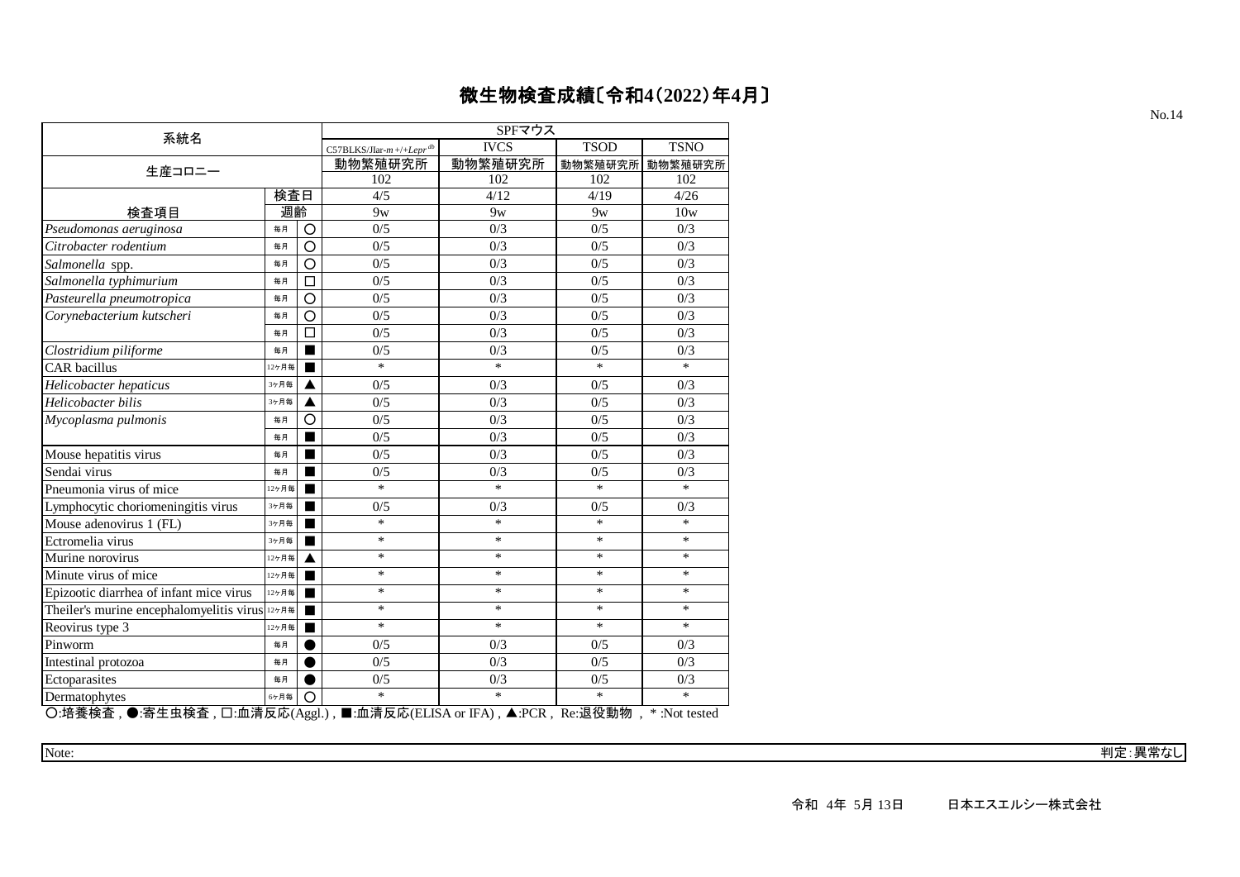| 系統名                                      |       |                    | SPFマウス                                |                |                                                |                                         |  |  |
|------------------------------------------|-------|--------------------|---------------------------------------|----------------|------------------------------------------------|-----------------------------------------|--|--|
|                                          |       |                    | $C57BLKS/Mar-m +/+Lepr$ <sup>db</sup> | <b>IVCS</b>    | <b>TSOD</b>                                    | <b>TSNO</b>                             |  |  |
| 生産コロニー                                   |       |                    | 動物繁殖研究所                               | 動物繁殖研究所        | 動物繁殖研究所                                        | 動物繁殖研究所                                 |  |  |
|                                          |       |                    | 102                                   | 102            | 102                                            | 102                                     |  |  |
|                                          | 検査日   | 4/5                | 4/12                                  | 4/19           | 4/26                                           |                                         |  |  |
| 検査項目                                     | 週齡    |                    | 9 <sub>W</sub>                        | 9 <sub>W</sub> | 9 <sub>W</sub>                                 | 10w                                     |  |  |
| Pseudomonas aeruginosa                   | 毎月    | O                  | 0/5                                   | 0/3            | 0/5                                            | 0/3                                     |  |  |
| Citrobacter rodentium                    | 毎月    | $\overline{\circ}$ | 0/5                                   | 0/3            | 0/5                                            | 0/3                                     |  |  |
| Salmonella spp.                          | 每月    | $\circ$            | 0/5                                   | 0/3            | 0/5                                            | 0/3                                     |  |  |
| Salmonella typhimurium                   | 每月    | □                  | 0/5                                   | 0/3            | 0/5                                            | 0/3                                     |  |  |
| Pasteurella pneumotropica                | 每月    | $\circ$            | 0/5                                   | 0/3            | 0/5                                            | 0/3                                     |  |  |
| Corynebacterium kutscheri                | 毎月    | O                  | 0/5                                   | 0/3            | 0/5                                            | 0/3                                     |  |  |
|                                          | 毎月    | П                  | 0/5                                   | 0/3            | 0/5                                            | 0/3                                     |  |  |
| Clostridium piliforme                    | 毎月    | ٠                  | 0/5                                   | 0/3            | 0/5                                            | 0/3                                     |  |  |
| CAR bacillus                             | 12ヶ月毎 |                    | $\ast$                                | $\ast$         | $\ast$                                         | $\ast$                                  |  |  |
| Helicobacter hepaticus                   | 3ヶ月毎  |                    | 0/5                                   | 0/3            | 0/5                                            | 0/3                                     |  |  |
| Helicobacter bilis                       | 3ヶ月毎  |                    | 0/5                                   | 0/3            | 0/5                                            | 0/3                                     |  |  |
| Mycoplasma pulmonis                      | 毎月    | O                  | 0/5                                   | 0/3            | 0/5                                            | 0/3                                     |  |  |
|                                          | 毎月    |                    | 0/5                                   | 0/3            | 0/5                                            | 0/3                                     |  |  |
| Mouse hepatitis virus                    | 毎月    |                    | 0/5                                   | 0/3            | 0/5                                            | 0/3                                     |  |  |
| Sendai virus                             | 毎月    |                    | 0/5                                   | 0/3            | 0/5                                            | 0/3                                     |  |  |
| Pneumonia virus of mice                  | 12ヶ月毎 | ■                  | $\ast$                                | $\ast$         | $\ast$                                         | $\ast$                                  |  |  |
| Lymphocytic choriomeningitis virus       | 3ヶ月毎  |                    | 0/5                                   | 0/3            | 0/5                                            | 0/3                                     |  |  |
| Mouse adenovirus 1 (FL)                  | 3ヶ月毎  |                    | $\ast$                                | $\ast$         | $\ast$                                         | $\ast$                                  |  |  |
| Ectromelia virus                         | 3ヶ月毎  |                    | $\ast$                                | $\ast$         | $\ast$                                         | $\ast$                                  |  |  |
| Murine norovirus                         | 12ヶ月毎 |                    | $\ast$                                | *              | $\ast$                                         | $\ast$                                  |  |  |
| Minute virus of mice                     | 12ヶ月毎 |                    | $\ast$                                | $\ast$         | $\ast$                                         | $\ast$                                  |  |  |
| Epizootic diarrhea of infant mice virus  | 12ヶ月毎 |                    | $\ast$                                | $\ast$         | $\ast$                                         | $\ast$                                  |  |  |
| Theiler's murine encephalomyelitis virus | 12ヶ月毎 |                    | $\ast$                                | $\ast$         | $\ast$                                         | $\ast$                                  |  |  |
| Reovirus type 3                          | 12ヶ月毎 |                    | $\ast$                                | $\ast$         | $\ast$                                         | $\ast$                                  |  |  |
| Pinworm                                  | 毎月    |                    | 0/5                                   | 0/3            | 0/5                                            | 0/3                                     |  |  |
| Intestinal protozoa                      | 毎月    |                    | 0/5                                   | 0/3            | 0/5                                            | 0/3                                     |  |  |
| Ectoparasites                            | 每月    |                    | 0/5                                   | 0/3            | 0/5                                            | 0/3                                     |  |  |
| Dermatophytes                            | 6ヶ月毎  | Ō                  | $\ast$                                | $\ast$         | $\ast$                                         | $\ast$                                  |  |  |
| ○ 拉美怜木<br>▲宋庄市玲木 口.而注口広(4--1)            |       |                    | ■.而注口広/PLICA 。 IEA)                   |                | $A.$ DCD $D.$ 'E $\sqrt[n]{B}$ at $M_{\rm BH}$ | $\mathbf{A}$ . Network and $\mathbf{A}$ |  |  |

○:培養検査 , ●:寄生虫検査 , □:血清反応(Aggl.) , ■:血清反応(ELISA or IFA) , ▲:PCR , Re:退役動物 , \* :Not tested

Note: 判定:異常なし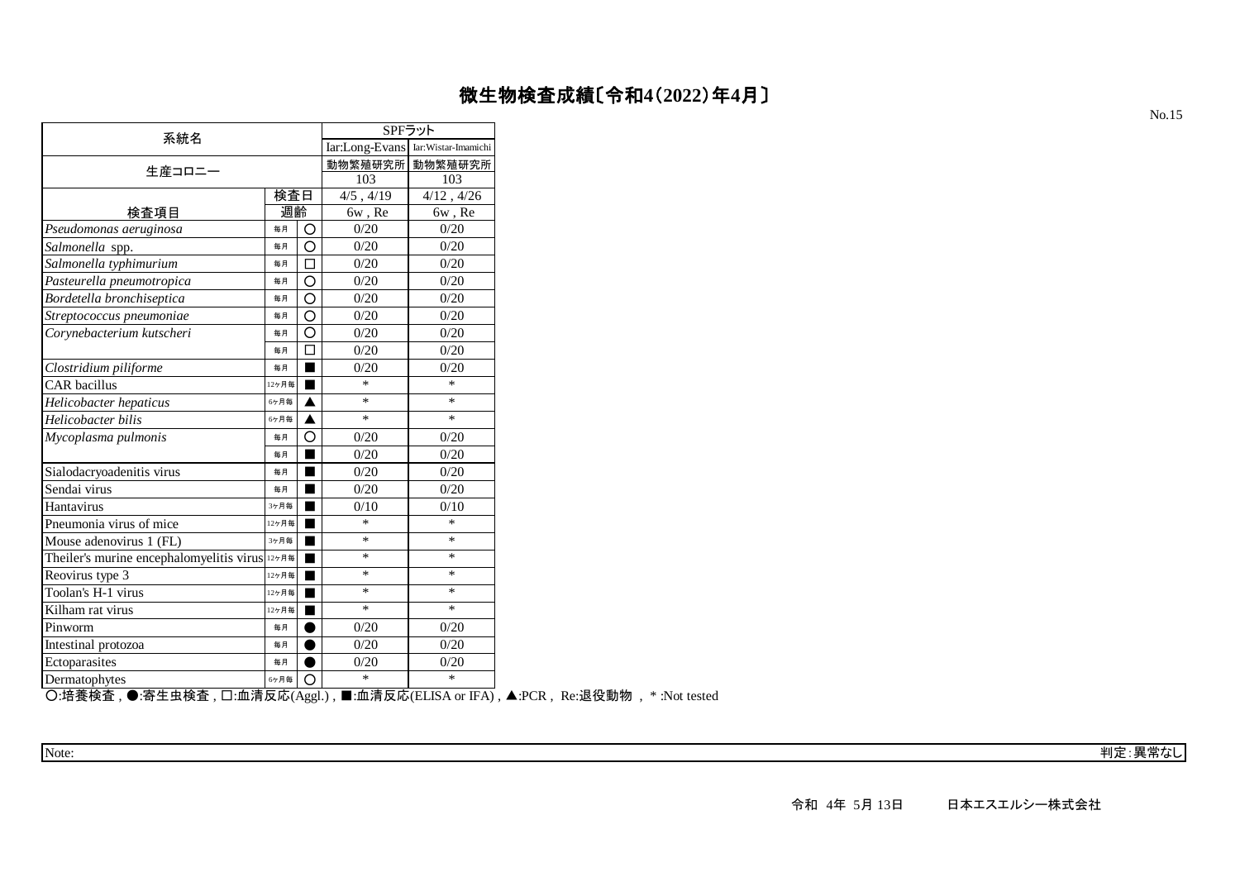| 系統名                                      | SPFラット         |            |         |                                    |  |  |
|------------------------------------------|----------------|------------|---------|------------------------------------|--|--|
|                                          |                |            |         | Iar:Long-Evans Iar:Wistar-Imamichi |  |  |
| 生産コロニー                                   |                |            | 動物繁殖研究所 | 動物繁殖研究所                            |  |  |
|                                          | 検査日            |            | 103     | 103                                |  |  |
|                                          | $4/5$ , $4/19$ | 4/12, 4/26 |         |                                    |  |  |
| 検査項目                                     | 週齡             |            | 6w, Re  | 6w, Re                             |  |  |
| Pseudomonas aeruginosa                   | 每月             | O          | 0/20    | 0/20                               |  |  |
| Salmonella spp.                          | 毎月             | O          | 0/20    | 0/20                               |  |  |
| Salmonella typhimurium                   | 毎月             | $\Box$     | 0/20    | 0/20                               |  |  |
| Pasteurella pneumotropica                | 毎月             | O          | 0/20    | 0/20                               |  |  |
| Bordetella bronchiseptica                | 毎月             | O          | 0/20    | 0/20                               |  |  |
| Streptococcus pneumoniae                 | 毎月             | Ω          | 0/20    | 0/20                               |  |  |
| Corynebacterium kutscheri                | 毎月             | Ω          | 0/20    | 0/20                               |  |  |
|                                          | 毎月             | П          | 0/20    | 0/20                               |  |  |
| Clostridium piliforme                    | 毎月             |            | 0/20    | 0/20                               |  |  |
| <b>CAR</b> bacillus                      | 12ヶ月毎          |            | *       | $\ast$                             |  |  |
| Helicobacter hepaticus                   | 6ヶ月毎           | ▲          | $\ast$  | *                                  |  |  |
| Helicobacter bilis                       | 6ヶ月毎           | ▲          | $\ast$  | $\ast$                             |  |  |
| Mycoplasma pulmonis                      | 每月             | Ω          | 0/20    | 0/20                               |  |  |
|                                          | 每月             |            | 0/20    | 0/20                               |  |  |
| Sialodacryoadenitis virus                | 毎月             |            | 0/20    | 0/20                               |  |  |
| Sendai virus                             | 毎月             | ٠          | 0/20    | 0/20                               |  |  |
| Hantavirus                               | 3ヶ月毎           | ٠          | 0/10    | 0/10                               |  |  |
| Pneumonia virus of mice                  | 12ヶ月毎          | ▅          | $\ast$  | *                                  |  |  |
| Mouse adenovirus 1 (FL)                  | 3ヶ月毎           | ٠          | $\ast$  | *                                  |  |  |
| Theiler's murine encephalomyelitis virus | 12ヶ月毎          | ٠          | *       | *                                  |  |  |
| Reovirus type 3                          | 12ヶ月毎          | ٠          | *       | *                                  |  |  |
| Toolan's H-1 virus                       | 12ヶ月毎          | ٠          | *       | *                                  |  |  |
| Kilham rat virus                         | 12ヶ月毎          | ٠          | $\ast$  | *                                  |  |  |
| Pinworm                                  | 毎月             |            | 0/20    | 0/20                               |  |  |
| Intestinal protozoa                      | 毎月             |            | 0/20    | 0/20                               |  |  |
| Ectoparasites                            | 每月             |            | 0/20    | 0/20                               |  |  |
| Dermatophytes                            | 6ヶ月毎           | ∩          | $\ast$  | *                                  |  |  |

○:培養検査 , ●:寄生虫検査 , □:血清反応(Aggl.) , ■:血清反応(ELISA or IFA) , ▲:PCR , Re:退役動物 , \* :Not tested

Note: 判定:異常なし